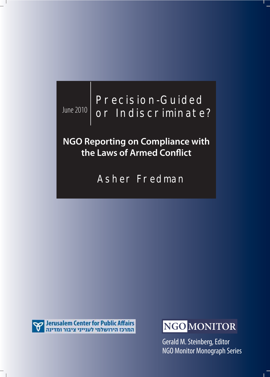# June 2010

# Precision-Guided or Indiscriminate?

**NGO Reporting on Compliance with the Laws of Armed Conflict**

Asher Fredman



 $\mathbf{I}$ 



NGO Monitor Monograph Series Gerald M. Steinberg, Editor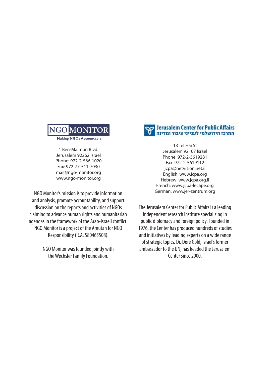

**Making NGOs Accountable** 

1 Ben-Maimon Blvd. Jerusalem 92262 Israel Phone: 972-2-566-1020 Fax: 972-77-511-7030 mail@ngo-monitor.org www.ngo-monitor.org

NGO Monitor's mission is to provide information and analysis, promote accountability, and support discussion on the reports and activities of NGOs claiming to advance human rights and humanitarian agendas in the framework of the Arab-Israeli conflict. NGO Monitor is a project of the Amutah for NGO Responsibility (R.A. 580465508).

> NGO Monitor was founded jointly with the Wechsler Family Foundation.



13 Tel Hai St Jerusalem 92107 Israel Phone: 972-2-5619281 Fax: 972-2-5619112 jcpa@netvision.net.il English: www.jcpa.org Hebrew: www.jcpa.org.il French: www.jcpa-lecape.org German: www.jer-zentrum.org

The Jerusalem Center for Public Affairs is a leading independent research institute specializing in public diplomacy and foreign policy. Founded in 1976, the Center has produced hundreds of studies and initiatives by leading experts on a wide range of strategic topics. Dr. Dore Gold, Israel's former ambassador to the UN, has headed the Jerusalem Center since 2000.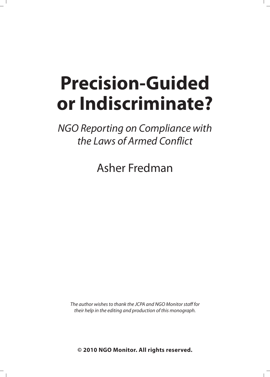# **Precision-Guided or Indiscriminate?**

NGO Reporting on Compliance with the Laws of Armed Conflict

Asher Fredman

The author wishes to thank the JCPA and NGO Monitor staff for their help in the editing and production of this monograph.

**© 2010 NGO Monitor. All rights reserved.**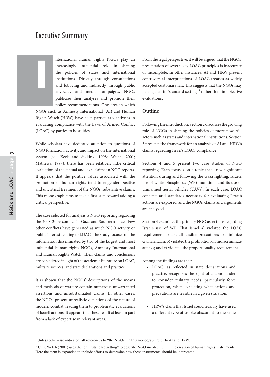# Executive Summary

**I**

nternational human rights NGOs play an increasingly influential role in shaping the policies of states and international institutions. Directly through consultations and lobbying and indirectly through public advocacy and media campaigns, NGOs publicize their analyses and promote their policy recommendations. One area in which

NGOs such as Amnesty International (AI) and Human Rights Watch (HRW) have been particularly active is in evaluating compliance with the Laws of Armed Conflict (LOAC) by parties to hostilities.

While scholars have dedicated attention to questions of NGO formation, activity, and impact on the international system (see Keck and Sikkink, 1998; Welch, 2001; Mathews, 1997), there has been relatively little critical evaluation of the factual and legal claims in NGO reports. It appears that the positive values associated with the promotion of human rights tend to engender positive and uncritical treatment of the NGOs' substantive claims. This monograph aims to take a first step toward adding a critical perspective.

The case selected for analysis is NGO reporting regarding the 2008-2009 conflict in Gaza and Southern Israel. Few other conflicts have generated as much NGO activity or public interest relating to LOAC. The study focuses on the information disseminated by two of the largest and most influential human rights NGOs, Amnesty International and Human Rights Watch. Their claims and conclusions are considered in light of the academic literature on LOAC, military sources, and state declarations and practice.

It is shown that the  $NGOs<sup>i</sup>$  descriptions of the means and methods of warfare contain numerous unwarranted assertions and unsubstantiated claims. In other cases, the NGOs present unrealistic depictions of the nature of modern combat, leading them to problematic evaluations of Israeli actions. It appears that these result at least in part from a lack of expertise in relevant areas.

From the legal perspective, it will be argued that the NGOs' presentation of several key LOAC principles is inaccurate or incomplete. In other instances, AI and HRW present controversial interpretations of LOAC treaties as widely accepted customary law. This suggests that the NGOs may be engaged in "standard setting"ii rather than in objective evaluations.

#### **Outline**

Following the introduction, Section 2 discusses the growing role of NGOs in shaping the policies of more powerful actors such as states and international institutions. Section 3 presents the framework for an analysis of AI and HRW's claims regarding Israel's LOAC compliance.

Sections 4 and 5 present two case studies of NGO reporting. Each focuses on a topic that drew significant attention during and following the Gaza fighting: Israel's use of white phosphorus (WP) munitions and its use of unmanned aerial vehicles (UAVs). In each case, LOAC concepts and standards necessary for evaluating Israel's actions are explored, and the NGOs' claims and arguments are analyzed.

Section 4 examines the primary NGO assertions regarding Israel's use of WP: That Israel a) violated the LOAC requirement to take all feasible precautions to minimize civilian harm; b) violated the prohibition on indiscriminate attacks; and c) violated the proportionality requirement.

Among the findings are that:

- LOAC, as reflected in state declarations and practice, recognizes the right of a commander to consider military needs, particularly force protection, when evaluating what actions and precautions are feasible in a given situation.
- HRW's claim that Israel could feasibly have used a different type of smoke obscurant to the same

<sup>&</sup>lt;sup>i</sup> Unless otherwise indicated, all references to "the NGOs" in this monograph refer to AI and HRW.

ii C. E. Welch (2001) uses the term "standard setting" to describe NGO involvement in the creation of human rights instruments. Here the term is expanded to include efforts to determine how those instruments should be interpreted.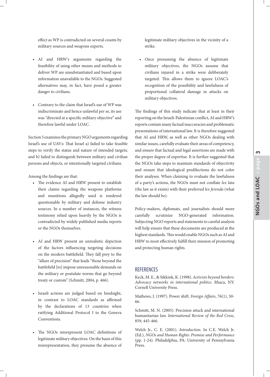effect as WP is contradicted on several counts by military sources and weapons experts.

- AI and HRW's arguments regarding the feasibility of using other means and methods to deliver WP are unsubstantiated and based upon information unavailable to the NGOs. Suggested alternatives may, in fact, have posed a greater danger to civilians.
- Contrary to the claim that Israel's use of WP was indiscriminate and hence unlawful per se, its use was "directed at a specific military objective" and therefore lawful under LOAC.

Section 5 examines the primary NGO arguments regarding Israel's use of UAVs: That Israel a) failed to take feasible steps to verify the status and nature of intended targets; and b) failed to distinguish between military and civilian persons and objects, or intentionally targeted civilians.

Among the findings are that:

- The evidence AI and HRW present to establish their claims regarding the weapons platforms and munitions allegedly used is rendered questionable by military and defense industry sources. In a number of instances, the witness testimony relied upon heavily by the NGOs is contradicted by widely published media reports or the NGOs themselves.
- AI and HRW present an unrealistic depiction of the factors influencing targeting decisions on the modern battlefield. They fall prey to the "allure of precision" that leads "those beyond the battlefield [to] impose unreasonable demands on the military or postulate norms that go beyond treaty or custom" (Schmitt, 2004, p. 466).
- Israeli actions are judged based on hindsight, in contrast to LOAC standards as affirmed by the declarations of 13 countries when ratifying Additional Protocol I to the Geneva Conventions.
- The NGOs misrepresent LOAC definitions of legitimate military objectives. On the basis of this misrepresentation, they presume the absence of

legitimate military objectives in the vicinity of a strike.

• Once presuming the absence of legitimate military objectives, the NGOs assume that civilians injured in a strike were deliberately targeted. This allows them to ignore LOAC's recognition of the possibility and lawfulness of proportional collateral damage in attacks on military objectives.

The findings of this study indicate that at least in their reporting on the Israeli-Palestinian conflict, AI and HRW's reports contain many factual inaccuracies and problematic presentations of international law. It is therefore suggested that AI and HRW, as well as other NGOs dealing with similar issues, carefully evaluate their areas of competency, and ensure that factual and legal assertions are made with the proper degree of expertise. It is further suggested that the NGOs take steps to maintain standards of objectivity and ensure that ideological predilections do not color their analyses. When claiming to evaluate the lawfulness of a party's actions, the NGOs must not conflate *lex lata* (the law as it exists) with their preferred *lex ferenda* (what the law should be).

Policy-makers, diplomats, and journalists should more carefully scrutinize NGO-generated information. Subjecting NGO reports and statements to careful analysis will help ensure that these documents are produced at the highest standards. This would enable NGOs such as AI and HRW to most effectively fulfill their mission of promoting and protecting human rights.

#### **REFERENCES**

Keck, M. E., & Sikkink, K. (1998). *Activists beyond borders: Advocacy networks in international politics.* Ithaca, NY: Cornell University Press.

Mathews, J. (1997). Power shift. *Foreign Affairs*, 76(1), 50- 66.

Schmitt, M. N. (2005). Precision attack and international humanitarian law. *International Review of the Red Cross*, 859, 445-466.

Welch Jr., C. E. (2001). *Introduction*. In C.E. Welch Jr. (Ed.), *NGOs and Human Rights: Promise and Performance* (pp. 1-24). Philadelphia, PA: University of Pennsylvania Press.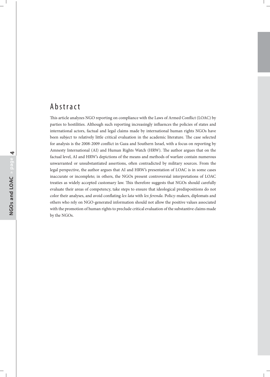# Abstract

This article analyzes NGO reporting on compliance with the Laws of Armed Conflict (LOAC) by parties to hostilities. Although such reporting increasingly influences the policies of states and international actors, factual and legal claims made by international human rights NGOs have been subject to relatively little critical evaluation in the academic literature. The case selected for analysis is the 2008-2009 conflict in Gaza and Southern Israel, with a focus on reporting by Amnesty International (AI) and Human Rights Watch (HRW). The author argues that on the factual level, AI and HRW's depictions of the means and methods of warfare contain numerous unwarranted or unsubstantiated assertions, often contradicted by military sources. From the legal perspective, the author argues that AI and HRW's presentation of LOAC is in some cases inaccurate or incomplete; in others, the NGOs present controversial interpretations of LOAC treaties as widely accepted customary law. This therefore suggests that NGOs should carefully evaluate their areas of competency, take steps to ensure that ideological predispositions do not color their analyses, and avoid conflating *lex lata* with *lex ferenda*. Policy-makers, diplomats and others who rely on NGO-generated information should not allow the positive values associated with the promotion of human rights to preclude critical evaluation of the substantive claims made by the NGOs.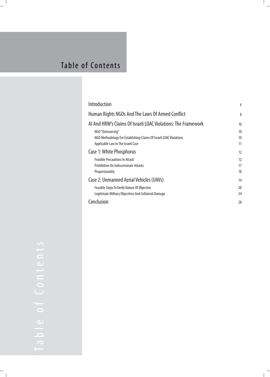# Table of Contents

| Introduction                                                       | 6  |
|--------------------------------------------------------------------|----|
| Human Rights NGOs And The Laws Of Armed Conflict                   | 8  |
| AI And HRW's Claims Of Israeli LOAC Violations: The Framework      | 10 |
| NGO "Outsourcing"                                                  | 10 |
| NGO Methodology For Establishing Claims Of Israeli LOAC Violations | 10 |
| Applicable Law In The Israeli Case                                 | 11 |
| Case 1: White Phosphorus                                           | 12 |
| <b>Feasible Precautions In Attack</b>                              | 12 |
| <b>Prohibition On Indiscriminate Attacks</b>                       | 17 |
| Proportionality                                                    | 18 |
| Case 2: Unmanned Aerial Vehicles (UAVs)                            | 19 |
| Feasible Steps To Verify Nature Of Objective                       | 20 |
| Legitimate Military Objectives And Collateral Damage               | 24 |
| Conclusion                                                         | 28 |

 $\frac{1}{2}$ 

 $\overline{1}$ 

 $\overline{\phantom{a}}_{\perp}$ 

 $-$ <sup>1</sup>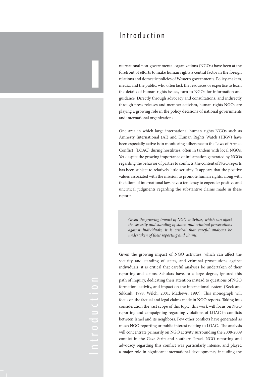# Introduction

nternational non-governmental organizations (NGOs) have been at the forefront of efforts to make human rights a central factor in the foreign relations and domestic policies of Western governments. Policy-makers, media, and the public, who often lack the resources or expertise to learn the details of human rights issues, turn to NGOs for information and guidance. Directly through advocacy and consultations, and indirectly through press releases and member activism, human rights NGOs are playing a growing role in the policy decisions of national governments and international organizations.

One area in which large international human rights NGOs such as Amnesty International (AI) and Human Rights Watch (HRW) have been especially active is in monitoring adherence to the Laws of Armed Conflict (LOAC) during hostilities, often in tandem with local NGOs. Yet despite the growing importance of information generated by NGOs regarding the behavior of parties to conflicts, the content of NGO reports has been subject to relatively little scrutiny. It appears that the positive values associated with the mission to promote human rights, along with the idiom of international law, have a tendency to engender positive and uncritical judgments regarding the substantive claims made in these reports.

*Given the growing impact of NGO activities, which can affect the security and standing of states, and criminal prosecutions against individuals, it is critical that careful analyses be undertaken of their reporting and claims.*

Given the growing impact of NGO activities, which can affect the security and standing of states, and criminal prosecutions against individuals, it is critical that careful analyses be undertaken of their reporting and claims. Scholars have, to a large degree, ignored this path of inquiry, dedicating their attention instead to questions of NGO formation, activity, and impact on the international system (Keck and Sikkink, 1998; Welch, 2001; Mathews, 1997). This monograph will focus on the factual and legal claims made in NGO reports. Taking into consideration the vast scope of this topic, this work will focus on NGO reporting and campaigning regarding violations of LOAC in conflicts between Israel and its neighbors. Few other conflicts have generated as much NGO reporting or public interest relating to LOAC. The analysis will concentrate primarily on NGO activity surrounding the 2008-2009 conflict in the Gaza Strip and southern Israel. NGO reporting and advocacy regarding this conflict was particularly intense, and played a major role in significant international developments, including the

Introduction ntroduction

**I**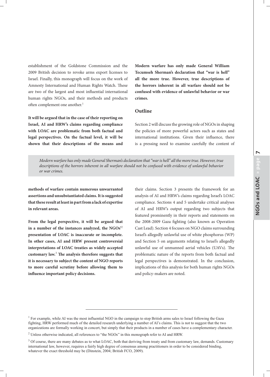establishment of the Goldstone Commission and the 2009 British decision to revoke arms export licenses to Israel. Finally, this monograph will focus on the work of Amnesty International and Human Rights Watch. These are two of the largest and most influential international human rights NGOs, and their methods and products often complement one another.<sup>1</sup>

**It will be argued that in the case of their reporting on Israel, AI and HRW's claims regarding compliance with LOAC are problematic from both factual and legal perspectives. On the factual level, it will be shown that their descriptions of the means and**  **Modern warfare has only made General William Tecumseh Sherman's declaration that "war is hell" all the more true. However, true descriptions of the horrors inherent in all warfare should not be confused with evidence of unlawful behavior or war crimes.**

#### **Outline**

Section 2 will discuss the growing role of NGOs in shaping the policies of more powerful actors such as states and international institutions. Given their influence, there is a pressing need to examine carefully the content of

*Modern warfare has only made General Sherman's declaration that "war is hell" all the more true. However, true descriptions of the horrors inherent in all warfare should not be confused with evidence of unlawful behavior or war crimes.*

**methods of warfare contain numerous unwarranted assertions and unsubstantiated claims. It is suggested that these result at least in part from a lack of expertise in relevant areas.**

**From the legal perspective, it will be argued that in a number of the instances analyzed, the NGOs'**<sup>2</sup> **presentation of LOAC is inaccurate or incomplete. In other cases, AI and HRW present controversial interpretations of LOAC treaties as widely accepted customary law.**<sup>3</sup>  **The analysis therefore suggests that it is necessary to subject the content of NGO reports to more careful scrutiny before allowing them to influence important policy decisions.** 

their claims. Section 3 presents the framework for an analysis of AI and HRW's claims regarding Israel's LOAC compliance. Sections 4 and 5 undertake critical analyses of AI and HRW's output regarding two subjects that featured prominently in their reports and statements on the 2008-2009 Gaza fighting (also known as Operation Cast Lead). Section 4 focuses on NGO claims surrounding Israel's allegedly unlawful use of white phosphorus (WP) and Section 5 on arguments relating to Israel's allegedly unlawful use of unmanned aerial vehicles (UAVs). The problematic nature of the reports from both factual and legal perspectives is demonstrated. In the conclusion, implications of this analysis for both human rights NGOs and policy-makers are noted.

<sup>&</sup>lt;sup>1</sup> For example, while AI was the most influential NGO in the campaign to stop British arms sales to Israel following the Gaza fighting, HRW performed much of the detailed research underlying a number of AI's claims. This is not to suggest that the two organizations are formally working in concert, but simply that their products in a number of cases have a complementary character.

 $2$  Unless otherwise indicated, all references to "the NGOs" in this monograph refer to AI and HRW.

<sup>&</sup>lt;sup>3</sup> Of course, there are many debates as to what LOAC, both that deriving from treaty and from customary law, demands. Customary international law, however, requires a fairly high degree of consensus among practitioners in order to be considered binding, whatever the exact threshold may be (Dinstein, 2004; British FCO, 2009).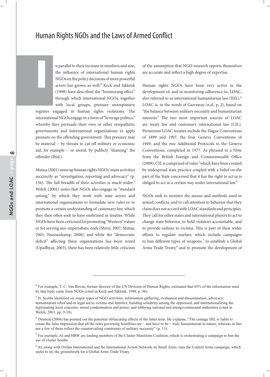# Human Rights NGOs and the Laws of Armed Conflict

n parallel to their increase in numbers and size, the influence of international human rights NGOs on the policy decisions of more powerful actors has grown as well.<sup>4</sup> Keck and Sikkink (1998) have described the "boomerang effect" through which international NGOs, together with local groups, pressure unresponsive

regimes engaged in human rights violations. The international NGOs engage in a form of "leverage politics," whereby they persuade their own or other sympathetic governments and international organizations to apply pressure on the offending government. This pressure may be material − by threats to cut off military or economic aid, for example − or moral, by publicly "shaming" the offender (Ibid.).

Mutua (2001) sums up human rights NGOs' main activities succinctly as "investigation, reporting and advocacy" (p. 156). The full breadth of their activities is much wider.<sup>5</sup> Welch (2001) notes that NGOs also engage in "standard setting," by which they work with state actors and international organizations to formulate new rules or to promote a certain understanding of customary law, which they then often seek to have enshrined in treaties. While NGOs have been criticized for promoting "Western" values or for serving neo-imperialistic ends (Shivji, 2007; Mutua, 2001; Nunnenkamp, 2008), and while the "democratic deficit" affecting these organizations has been noted (Upadhyay, 2003), there has been relatively little criticism

of the assumption that NGO research reports themselves are accurate and reflect a high degree of expertise.

Human rights NGOs have been very active in the development of, and in monitoring adherence to, LOAC, also referred to as international humanitarian law (IHL).<sup>6</sup> LOAC is, in the words of Garraway (n.d., p. 2), based on "the balance between military necessity and humanitarian interests." The two most important sources of LOAC are treaty law and customary international law (CIL). Prominent LOAC treaties include the Hague Conventions of 1899 and 1907, the four Geneva Conventions of 1949, and the two Additional Protocols to the Geneva Conventions, completed in 1977. As phrased in a Note from the British Foreign and Commonwealth Office (2009), CIL is comprised of rules "which have been created by widespread state practice coupled with a belief on the part of the State concerned that it has the right to act or is obliged to act in a certain way under international law."

NGOs seek to monitor the means and methods used in armed conflicts, and to call attention to behavior that they claim does not accord with LOAC standards and principles. They call for other states and international players to act to change state behavior, to hold violators accountable, and to provide redress to victims. This is part of their wider efforts to regulate warfare, which include campaigns to ban different types of weapons,<sup>7</sup> to establish a Global Arms Trade Treaty,<sup>8</sup> and to promote the development of

**I**

<sup>4</sup> For example, T. C. Van Boven, former director of the UN Division of Human Rights, estimated that 85% of the information used by that body came from NGOs (cited in Keck and Sikkink, 1998, p. 96).

 $<sup>5</sup>$  H. Scoble identified six major types of NGO activities: information gathering, evaluation and dissemination; advocacy;</sup> humanitarian relief and/or legal aid to victims and families; building solidarity among the oppressed, and internationalizing the legitimating local concerns; moral condemnation and praise; and lobbying national and intergovernmental authorities (cited in Welch, 2001, pp. 9-10).

 $6$  Dinstein (2004) has pointed out the potential obfuscating effects of the latter term. He explains, "The coinage IHL is liable to create the false impression that all the rules governing hostilities are − and have to be − truly humanitarian in nature, whereas in fact not a few of them reflect the countervailing constraints of military necessity" (p. 13).

 $<sup>7</sup>$  For example, AI and HRW are leading members of the Cluster Munitions Coalition, which is orchestrating a campaign to ban the</sup> use of cluster bombs.

<sup>&</sup>lt;sup>8</sup> AI, along with Oxfam International and the International Action Network on Small Arms, runs the Control Arms campaign, which seeks to lay the groundwork for a Global Arms Trade Treaty.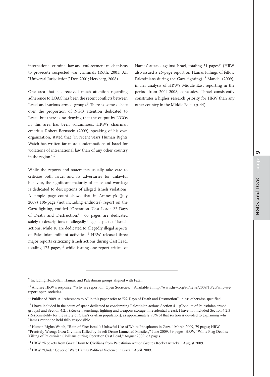international criminal law and enforcement mechanisms to prosecute suspected war criminals (Roth, 2001; AI, "Universal Jurisdiction," Dec. 2001; Herzberg, 2008).

One area that has received much attention regarding adherence to LOAC has been the recent conflicts between Israel and various armed groups.<sup>9</sup> There is some debate over the proportion of NGO attention dedicated to Israel, but there is no denying that the output by NGOs in this area has been voluminous. HRW's chairman emeritus Robert Bernstein (2009), speaking of his own organization, stated that "in recent years Human Rights Watch has written far more condemnations of Israel for violations of international law than of any other country in the region."<sup>10</sup>

While the reports and statements usually take care to criticize both Israel and its adversaries for unlawful behavior, the significant majority of space and wordage is dedicated to descriptions of alleged Israeli violations. A simple page count shows that in Amnesty's (July 2009) 106-page (not including endnotes) report on the Gaza fighting, entitled "Operation 'Cast Lead': 22 Days of Death and Destruction,"<sup>11</sup> 60 pages are dedicated solely to descriptions of allegedly illegal aspects of Israeli actions, while 10 are dedicated to allegedly illegal aspects of Palestinian militant activities.<sup>12</sup> HRW released three major reports criticizing Israeli actions during Cast Lead, totaling  $173$  pages,<sup>13</sup> while issuing one report critical of Hamas' attacks against Israel, totaling 31 pages<sup>14</sup> (HRW also issued a 26-page report on Hamas killings of fellow Palestinians during the Gaza fighting).<sup>15</sup> Mandel (2009), in her analysis of HRW's Middle East reporting in the period from 2004-2008, concludes, "Israel consistently constitutes a higher research priority for HRW than any other country in the Middle East" (p. 44).

<sup>&</sup>lt;sup>9</sup> Including Hezbollah, Hamas, and Palestinian groups aligned with Fatah.

<sup>&</sup>lt;sup>10</sup> And see HRW's response, "Why we report on 'Open Societies." Available at http://www.hrw.org/en/news/2009/10/20/why-wereport-open-societies.

<sup>&</sup>lt;sup>11</sup> Published 2009. All references to AI in this paper refer to "22 Days of Death and Destruction" unless otherwise specified.

<sup>&</sup>lt;sup>12</sup> I have included in the count of space dedicated to condemning Palestinian actions Section 4.1 (Conduct of Palestinian armed groups) and Section 4.2.1 (Rocket launching, fighting and weapons storage in residential areas). I have not included Section 4.2.3 (Responsibility for the safety of Gaza's civilian population), as approximately 90% of that section is devoted to explaining why Hamas *cannot* be held fully responsible.

<sup>&</sup>lt;sup>13</sup> Human Rights Watch, "Rain of Fire: Israel's Unlawful Use of White Phosphorus in Gaza," March 2009, 79 pages; HRW, "Precisely Wrong: Gaza Civilians Killed by Israeli Drone Launched Missiles," June 2009, 39 pages; HRW, "White Flag Deaths: Killing of Palestinian Civilians during Operation Cast Lead," August 2009, 63 pages.

<sup>&</sup>lt;sup>14</sup> HRW, "Rockets from Gaza: Harm to Civilians from Palestinian Armed Groups Rocket Attacks," August 2009.

<sup>&</sup>lt;sup>15</sup> HRW, "Under Cover of War: Hamas Political Violence in Gaza," April 2009.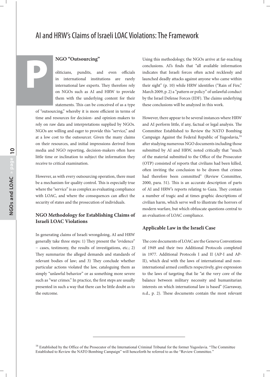#### **NGO "Outsourcing"**

**P**

oliticians, pundits, and even officials in international institutions are rarely international law experts. They therefore rely on NGOs such as AI and HRW to provide them with the underlying content for their statements. This can be conceived of as a type

of "outsourcing," whereby it is more efficient in terms of time and resources for decision- and opinion-makers to rely on raw data and interpretations supplied by NGOs. NGOs are willing and eager to provide this "service," and at a low cost to the outsourcer. Given the many claims on their resources, and initial impressions derived from media and NGO reporting, decision-makers often have little time or inclination to subject the information they receive to critical examination.

However, as with every outsourcing operation, there must be a mechanism for quality control. This is especially true where the "service" is as complex as evaluating compliance with LOAC, and where the consequences can affect the security of states and the prosecution of individuals.

#### **NGO Methodology for Establishing Claims of Israeli LOAC Violations**

In generating claims of Israeli wrongdoing, AI and HRW generally take three steps: 1) They present the "evidence" − cases, testimony, the results of investigations, etc.; 2) They summarize the alleged demands and standards of relevant bodies of law; and 3) They conclude whether particular actions violated the law, cataloguing them as simply "unlawful behavior" or as something more severe such as "war crimes." In practice, the first steps are usually presented in such a way that there can be little doubt as to the outcome.

Using this methodology, the NGOs arrive at far-reaching conclusions. AI's finds that "all available information indicates that Israeli forces often acted recklessly and launched deadly attacks against anyone who came within their sight" (p. 10) while HRW identifies ("Rain of Fire," March 2009, p. 2) a "pattern or policy" of unlawful conduct by the Israel Defense Forces (IDF). The claims underlying these conclusions will be analyzed in this work.

However, there appear to be several instances where HRW and AI perform little, if any, factual or legal analysis. The Committee Established to Review the NATO Bombing Campaign Against the Federal Republic of Yugoslavia,<sup>16</sup> after studying numerous NGO documents including those submitted by AI and HRW, noted critically that "much of the material submitted to the Office of the Prosecutor (OTP) consisted of reports that civilians had been killed, often inviting the conclusion to be drawn that crimes had therefore been committed" (Review Committee, 2000, para. 51). This is an accurate description of parts of AI and HRW's reports relating to Gaza. They contain a number of tragic and at times graphic descriptions of civilian harm, which serve well to illustrate the horrors of modern warfare, but which obfuscate questions central to an evaluation of LOAC compliance.

#### **Applicable Law in the Israeli Case**

The core documents of LOAC are the Geneva Conventions of 1949 and their two Additional Protocols completed in 1977. Additional Protocols I and II (AP-I and AP-II), which deal with the laws of international and noninternational armed conflicts respectively, give expression to the laws of targeting that lie "at the very core of the balance between military necessity and humanitarian interests on which international law is based" (Garraway, n.d., p. 2). These documents contain the most relevant

<sup>&</sup>lt;sup>16</sup> Established by the Office of the Prosecutor of the International Criminal Tribunal for the former Yugoslavia. "The Committee Established to Review the NATO Bombing Campaign" will henceforth be referred to as the "Review Committee."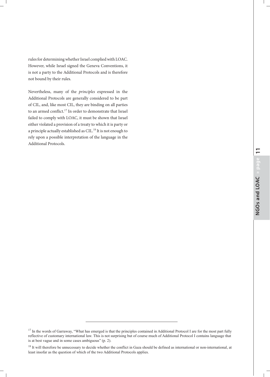rules for determining whether Israel complied with LOAC. However, while Israel signed the Geneva Conventions, it is not a party to the Additional Protocols and is therefore not bound by their rules.

Nevertheless, many of the *principles* expressed in the Additional Protocols are generally considered to be part of CIL, and, like most CIL, they are binding on all parties to an armed conflict.<sup>17</sup> In order to demonstrate that Israel failed to comply with LOAC, it must be shown that Israel either violated a provision of a treaty to which it is party or a principle actually established as CIL.<sup>18</sup> It is not enough to rely upon a possible interpretation of the language in the Additional Protocols.

<sup>&</sup>lt;sup>17</sup> In the words of Garraway, "What has emerged is that the principles contained in Additional Protocol I are for the most part fully reflective of customary international law. This is not surprising but of course much of Additional Protocol I contains language that is at best vague and in some cases ambiguous" (p. 2).

<sup>&</sup>lt;sup>18</sup> It will therefore be unnecessary to decide whether the conflict in Gaza should be defined as international or non-international, at least insofar as the question of which of the two Additional Protocols applies.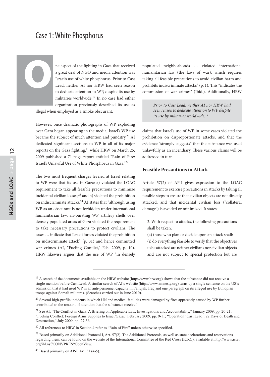### Case 1: White Phosphorus

**O**

ne aspect of the fighting in Gaza that received a great deal of NGO and media attention was Israel's use of white phosphorus. Prior to Cast Lead, neither AI nor HRW had seen reason to dedicate attention to WP, despite its use by militaries worldwide.<sup>19</sup> In no case had either organization previously described its use as

illegal when employed as a smoke obscurant.

However, once dramatic photographs of WP exploding over Gaza began appearing in the media, Israel's WP use became the subject of much attention and punditry.<sup>20</sup> AI dedicated significant sections to WP in all of its major reports on the Gaza fighting, $21$  while HRW on March 25, 2009 published a 71-page report entitled "Rain of Fire: Israel's Unlawful Use of White Phosphorus in Gaza."<sup>22</sup>

The two most frequent charges leveled at Israel relating to WP were that its use in Gaza: a) violated the LOAC requirement to take all feasible precautions to minimize incidental civilian losses; $^{23}$  and b) violated the prohibition on indiscriminate attacks.<sup>24</sup> AI states that "although using WP as an obscurant is not forbidden under international humanitarian law, air-bursting WP artillery shells over densely populated areas of Gaza violated the requirement to take necessary precautions to protect civilians. The cases … indicate that Israeli forces violated the prohibition on indiscriminate attack" (p. 31) and hence committed war crimes (AI, "Fueling Conflict," Feb. 2009, p. 10). HRW likewise argues that the use of WP "in densely populated neighborhoods … violated international humanitarian law (the laws of war), which requires taking all feasible precautions to avoid civilian harm and prohibits indiscriminate attacks" (p. 1). This "indicates the commission of war crimes" (Ibid.). Additionally, HRW

> *Prior to Cast Lead, neither AI nor HRW had seen reason to dedicate attention to WP, despite its use by militaries worldwide.*<sup>19</sup>

claims that Israel's use of WP in some cases violated the prohibition on disproportionate attacks, and that the evidence "strongly suggests" that the substance was used unlawfully as an incendiary. These various claims will be addressed in turn.

#### **Feasible Precautions in Attack**

Article 57(2) of AP-I gives expression to the LOAC requirement to exercise precautions in attacks by taking all feasible steps to ensure that civilian objects are not directly attacked, and that incidental civilian loss ("collateral damage") is avoided or minimized. It states:

- 2. With respect to attacks, the following precautions shall be taken:
- (a) those who plan or decide upon an attack shall:

(i) do everything feasible to verify that the objectives to be attacked are neither civilians nor civilian objects and are not subject to special protection but are

<sup>&</sup>lt;sup>19</sup> A search of the documents available on the HRW website (http://www.hrw.org) shows that the substance did not receive a single mention before Cast Lead. A similar search of AI's website (http://www.amnesty.org) turns up a single sentence on the US's admission that it had used WP in an anti-personnel capacity in Fallujah, Iraq and one paragraph on its alleged use by Ethiopian troops against Somali militants. (Searches carried out in June 2010).

<sup>&</sup>lt;sup>20</sup> Several high-profile incidents in which UN and medical facilities were damaged by fires apparently caused by WP further contributed to the amount of attention that the substance received.

<sup>&</sup>lt;sup>21</sup> See AI, "The Conflict in Gaza: A Briefing on Applicable Law, Investigations and Accountability," January 2009, pp. 20-21; "Fueling Conflict: Foreign Arms Supplies to Israel/Gaza," February 2009, pp. 9-11; "Operation 'Cast Lead': 22 Days of Death and Destruction," July 2009, pp. 27-36.

<sup>&</sup>lt;sup>22</sup> All references to HRW in Section 4 refer to "Rain of Fire" unless otherwise specified.

<sup>&</sup>lt;sup>23</sup> Based primarily on Additional Protocol I, Art. 57(2). The Additional Protocols, as well as state declarations and reservations regarding them, can be found on the website of the International Committee of the Red Cross (ICRC), available at http://www.icrc. org/ihl.nsf/CONVPRES?OpenView.

<sup>&</sup>lt;sup>24</sup> Based primarily on AP-I, Art. 51 (4-5).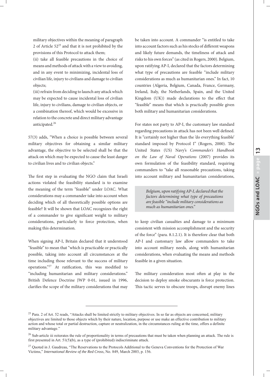military objectives within the meaning of paragraph 2 of Article  $52^{25}$  and that it is not prohibited by the provisions of this Protocol to attack them;

(ii) take all feasible precautions in the choice of means and methods of attack with a view to avoiding, and in any event to minimizing, incidental loss of civilian life, injury to civilians and damage to civilian objects;

(iii) refrain from deciding to launch any attack which may be expected to cause incidental loss of civilian life, injury to civilians, damage to civilian objects, or a combination thereof, which would be excessive in relation to the concrete and direct military advantage anticipated.<sup>26</sup>

57(3) adds, "When a choice is possible between several military objectives for obtaining a similar military advantage, the objective to be selected shall be that the attack on which may be expected to cause the least danger to civilian lives and to civilian objects."

The first step in evaluating the NGO claim that Israeli actions violated the feasibility standard is to examine the meaning of the term "feasible" under LOAC. What considerations may a commander take into account when deciding which of all theoretically possible options are feasible? It will be shown that LOAC recognizes the right of a commander to give significant weight to military considerations, particularly to force protection, when making this determination.

When signing AP-I, Britain declared that it understood "feasible" to mean that "which is practicable or practically possible, taking into account all circumstances at the time including those relevant to the success of military operations."<sup>27</sup> At ratification, this was modified to "including humanitarian and military considerations." British Defence Doctrine JWP 0-01, issued in 1996, clarifies the scope of the military considerations that may

be taken into account. A commander "is entitled to take into account factors such as his stocks of different weapons and likely future demands, the timeliness of attack and risks to his own forces" (as cited in Rogers, 2000). Belgium, upon ratifying AP-I, declared that the factors determining what type of precautions are feasible "include military considerations as much as humanitarian ones." In fact, 10 countries (Algeria, Belgium, Canada, France, Germany, Ireland, Italy, the Netherlands, Spain, and the United Kingdom (UK)) made declarations to the effect that "feasible" means that which is practically possible given both military and humanitarian considerations.

For states not party to AP-I, the customary law standard regarding precautions in attack has not been well defined. It is "certainly not higher than the 'do everything feasible' standard imposed by Protocol I" (Rogers, 2000). The United States (US) Navy's *Commander's Handbook on the Law of Naval Operations* (2007) provides its own formulation of the feasibility standard, requiring commanders to "take all reasonable precautions, taking into account military and humanitarian considerations,

> *Belgium, upon ratifying AP-I, declared that the factors determining what type of precautions are feasible "include military considerations as much as humanitarian ones."*

to keep civilian casualties and damage to a minimum consistent with mission accomplishment and the security of the force" (para. 8.1.2.1). It is therefore clear that both AP-I and customary law allow commanders to take into account military needs, along with humanitarian considerations, when evaluating the means and methods feasible in a given situation.

The military consideration most often at play in the decision to deploy smoke obscurants is force protection. This tactic serves to obscure troops, disrupt enemy lines

<sup>&</sup>lt;sup>25</sup> Para. 2 of Art. 52 reads, "Attacks shall be limited strictly to military objectives. In so far as objects are concerned, military objectives are limited to those objects which by their nature, location, purpose or use make an effective contribution to military action and whose total or partial destruction, capture or neutralization, in the circumstances ruling at the time, offers a definite military advantage."

<sup>&</sup>lt;sup>26</sup> Sub-article iii reiterates the rule of proportionality in terms of precautions that must be taken when planning an attack. The rule is first presented in Art. 51(5)(b), as a type of (prohibited) indiscriminate attack.

<sup>&</sup>lt;sup>27</sup> Quoted in J. Gaudreau, "The Reservations to the Protocols Additional to the Geneva Conventions for the Protection of War Victims," *International Review of the Red Cross*, No. 849, March 2003, p. 156.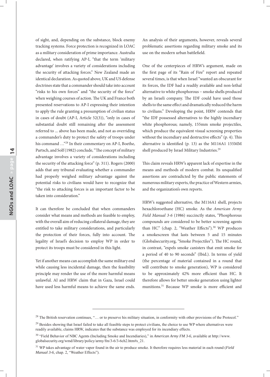of sight, and, depending on the substance, block enemy tracking systems. Force protection is recognized in LOAC as a military consideration of prime importance. Australia declared, when ratifying AP-I, "that the term 'military advantage' involves a variety of considerations including the security of attacking forces." New Zealand made an identical declaration. As quoted above, UK and US defense doctrines state that a commander should take into account "risks to his own forces" and "the security of the force" when weighing courses of action. The UK and France both presented reservations to AP-I expressing their intention to apply the rule granting a presumption of civilian status in cases of doubt (AP-I, Article 52(3)), "only in cases of substantial doubt still remaining after the assessment referred to ... above has been made, and not as overriding a commander's duty to protect the safety of troops under his command …"<sup>28</sup> In their commentary on AP-I, Boethe, Partsch, and Solf (1982) conclude, "The concept of military advantage involves a variety of considerations including the security of the attacking force" (p. 311). Rogers (2000) adds that any tribunal evaluating whether a commander had properly weighed military advantage against the potential risks to civilians would have to recognize that "the risk to attacking forces is an important factor to be taken into consideration."

It can therefore be concluded that when commanders consider what means and methods are feasible to employ, with the overall aim of reducing collateral damage, they are entitled to take military considerations, and particularly the protection of their forces, fully into account. The legality of Israel's decision to employ WP in order to protect its troops must be considered in this light.

Yet if another means can accomplish the same military end while causing less incidental damage, then the feasibility principle may render the use of the more harmful means unlawful. AI and HRW claim that in Gaza, Israel could have used less harmful means to achieve the same ends.

An analysis of their arguments, however, reveals several problematic assertions regarding military smoke and its use on the modern urban battlefield.

One of the centerpieces of HRW's argument, made on the first page of its "Rain of Fire" report and repeated several times, is that when Israel "wanted an obscurant for its forces, the IDF had a readily available and non-lethal alternative to white phosphorous − smoke shells produced by an Israeli company. The IDF could have used those shells to the same effect and dramatically reduced the harm to civilians." Developing the point, HRW contends that "the IDF possessed alternatives to the highly incendiary white phosphorous; namely, 155mm smoke projectiles, which produce the equivalent visual screening properties without the incendiary and destructive effects" (p. 4). This alternative is identified (p. 13) as the M116A1 155MM shell produced by Israel Military Industries.<sup>29</sup>

This claim reveals HRW's apparent lack of expertise in the means and methods of modern combat. Its unqualified assertions are contradicted by the public statements of numerous military experts, the practice of Western armies, and the organization's own reports.

HRW's suggested alternative, the M116A1 shell, projects hexachloroethane (HC) smoke. As the *American Army Field Manual 3-6* (1986) succinctly states, "Phosphorous compounds are considered to be better screening agents than HC" (chap. 2, "Weather Effects").<sup>30</sup> WP produces a smokescreen that lasts between 5 and 15 minutes (Globalsecurity.org, "Smoke Projectiles"). The HC round, in contrast, "expels smoke canisters that emit smoke for a period of 40 to 90 seconds" (Ibid.). In terms of yield (the percentage of material contained in a round that will contribute to smoke generation), WP is considered to be approximately 42% more efficient than HC. It therefore allows for better smoke generation using lighter munitions.<sup>31</sup> Because WP smoke is more efficient and

<sup>&</sup>lt;sup>28</sup> The British reservation continues, "... or to preserve his military situation, in conformity with other provisions of the Protocol."

 $29$  Besides showing that Israel failed to take all feasible steps to protect civilians, the choice to use WP where alternatives were readily available, claims HRW, indicates that the substance was employed for its incendiary effects.

<sup>30 &</sup>quot;Field Behavior of NBC Agents (Including Smoke and Incendiaries)," in *American Army FM 3-6*, available at http://www. globalsecurity.org/wmd/library/policy/army/fm/3-6/3-6ch2.htm#s\_21.

<sup>31</sup> WP takes advantage of water vapor found in the air to produce smoke. It therefore requires less material in each round (*Field Manual 3-6*, chap. 2, "Weather Effects").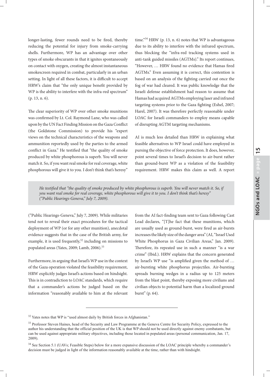longer-lasting, fewer rounds need to be fired, thereby reducing the potential for injury from smoke-carrying shells. Furthermore, WP has an advantage over other types of smoke obscurants in that it ignites spontaneously on contact with oxygen, creating the almost instantaneous smokescreen required in combat, particularly in an urban setting. In light of all these factors, it is difficult to accept HRW's claim that "the only unique benefit provided by WP is the ability to interfere with the infra-red spectrum" (p. 13, n. 6).

The clear superiority of WP over other smoke munitions was confirmed by Lt. Col. Raymond Lane, who was called upon by the UN Fact Finding Mission on the Gaza Conflict (the Goldstone Commission) to provide his "expert views on the technical characteristics of the weapons and ammunition reportedly used by the parties to the armed conflict in Gaza." He testified that "the quality of smoke produced by white phosphorous is superb. You will never match it. So, if you want real smoke for real coverage, white phosphorous will give it to you. I don't think that's heresy"

time."<sup>34</sup> HRW (p. 13, n. 6) notes that WP is advantageous due to its ability to interfere with the infrared spectrum, thus blocking the "infra-red tracking systems used in anti-tank guided missiles (AGTMs)." Its report continues, "However, … HRW found no evidence that Hamas fired AGTMs." Even assuming it is correct, this contention is based on an analysis of the fighting carried out once the fog of war had cleared. It was public knowledge that the Israeli defense establishment had reason to assume that Hamas had acquired AGTMs employing laser and infrared targeting systems prior to the Gaza fighting (Eshel, 2007; Harel, 2007). It was therefore perfectly reasonable under LOAC for Israeli commanders to employ means capable of disrupting AGTM targeting mechanisms.

AI is much less detailed than HRW in explaining what feasible alternatives to WP Israel could have employed in pursing the objective of force protection. It does, however, point several times to Israel's decision to air-burst rather than ground-burst WP as a violation of the feasibility requirement. HRW makes this claim as well. A report

*He testified that "the quality of smoke produced by white phosphorous is superb. You will never match it. So, if you want real smoke for real coverage, white phosphorous will give it to you. I don't think that's heresy" ("Public Hearings-Geneva," July 7, 2009).*

("Public Hearings-Geneva," July 7, 2009). While militaries tend not to reveal their exact procedures for the tactical deployment of WP (or for any other munition), anecdotal evidence suggests that in the case of the British army, for example, it is used frequently, $32$  including on missions to populated areas (Yates, 2009; Lamb, 2006).<sup>33</sup>

Furthermore, in arguing that Israel's WP use in the context of the Gaza operation violated the feasibility requirement, HRW explicitly judges Israel's actions based on hindsight. This is in contradiction to LOAC standards, which require that a commander's actions be judged based on the information "reasonably available to him at the relevant from the AI fact-finding team sent to Gaza following Cast Lead declares, "[T]he fact that these munitions, which are usually used as ground-burst, were fired as air-bursts increases the likely size of the danger area" (AI, "Israel Used White Phosphorus in Gaza Civilian Areas," Jan. 2009). Therefore, its repeated use in such a manner "is a war crime" (Ibid.). HRW explains that the concern generated by Israel's WP use "is amplified given the method of … air-bursting white phosphorus projectiles. Air-bursting spreads burning wedges in a radius up to 125 meters from the blast point, thereby exposing more civilians and civilian objects to potential harm than a localized ground burst" (p. 64).

<sup>&</sup>lt;sup>32</sup> Yates notes that WP is "used almost daily by British forces in Afghanistan."

<sup>&</sup>lt;sup>33</sup> Professor Steven Haines, head of the Security and Law Programme at the Geneva Centre for Security Policy, expressed to the author his understanding that the official position of the UK is that WP should not be used directly against enemy combatants, but can be used against appropriate military objectives, including those located in populated areas (personal communication, Jan. 17, 2009).

<sup>&</sup>lt;sup>34</sup> See Section 5.1 (UAVs; Feasible Steps) below for a more expansive discussion of the LOAC principle whereby a commander's decision must be judged in light of the information reasonably available at the time, rather than with hindsight.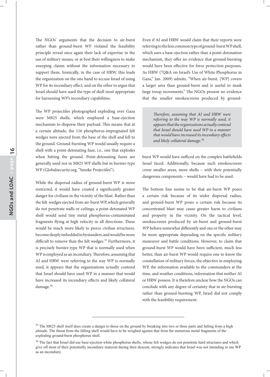The NGOs' arguments that the decision to air-burst rather than ground-burst WP violated the feasibility principle reveal once again their lack of expertise in the use of military means, or at best their willingness to make sweeping claims without the information necessary to support them. Ironically, in the case of HRW, this leads the organization on the one hand to accuse Israel of using WP for its incendiary effect, and on the other to argue that Israel should have used the type of shell most appropriate for harnessing WP's incendiary capabilities.

The WP projectiles photographed exploding over Gaza were M825 shells, which employed a base-ejection mechanism to disperse their payload. This means that at a certain altitude, the 116 phosphorus-impregnated felt wedges were ejected from the base of the shell and fell to the ground. Ground-bursting WP would usually require a shell with a point-detonating fuze, i.e., one that explodes when hitting the ground. Point-detonating fuzes are generally used not in M825 WP shells but in burster-type WP (Globalsecurity.org, "Smoke Projectiles").

While the dispersal radius of ground-burst WP is more restricted, it would have created a significantly greater danger for civilians in the vicinity of the blast. Rather than the felt wedges ejected from air-burst WP, which generally do not penetrate walls or ceilings, a point-detonated WP shell would send tiny metal phosphorus-contaminated fragments flying at high velocity in all directions. These would be much more likely to pierce civilian structures, become deeply imbedded in bystanders, and would be more difficult to remove than the felt wedges.<sup>35</sup> Furthermore, it is precisely burster-type WP that is normally used when WP is employed as an incendiary. Therefore, assuming that AI and HRW were referring to the way WP is normally used, it appears that the organizations actually contend that Israel should have used WP in a manner that would have increased its incendiary effects and likely collateral damage.<sup>36</sup>

Even if AI and HRW would claim that their reports were referring to the less common type of ground-burst WP shell, which uses a base-ejection rather than a point-detonation mechanism, they offer no evidence that ground-bursting would have been effective for force protection purposes. As HRW ("Q&A on Israel's Use of White Phosphorus in Gaza," Jan. 2009) admits, "When air-burst, [WP] covers a larger area than ground-burst and is useful to mask large troop movements." The NGOs present no evidence that the smaller smokescreens produced by ground-

> *Therefore, assuming that AI and HRW were referring to the way WP is normally used, it appears that the organizations actually contend that Israel should have used WP in a manner that would have increased its incendiary effects and likely collateral damage.*<sup>36</sup>

burst WP would have sufficed on the complex battlefields Israel faced. Additionally, because such smokescreens cover smaller areas, more shells − with their potentially dangerous components − would have had to be used.

The bottom line seems to be that air-burst WP poses a certain risk because of its wider dispersal radius, and ground-burst WP poses a certain risk because its concentrated blast may cause greater harm to civilians and property in the vicinity. On the tactical level, smokescreens produced by air-burst and ground-burst WP behave somewhat differently and one or the other may be more appropriate depending on the specific military maneuver and battle conditions. However, to claim that ground-burst WP would have been sufficient, much less better, than air-burst WP would require one to know the constellation of military forces, the objective in employing WP, the information available to the commanders at the time, and weather conditions, information that neither AI or HRW possess. It is therefore unclear how the NGOs can conclude with any degree of certainty that in air-bursting rather than ground-bursting WP, Israel did not comply with the feasibility requirement.

<sup>&</sup>lt;sup>35</sup> The M825 shell itself does create a danger to those on the ground by breaking into two or three parts and falling from a high altitude. The threat from the falling shell would have to be weighed against that from the numerous metal fragments of the exploding ground-burst phosphorus shell.

<sup>&</sup>lt;sup>36</sup> The fact that Israel did use base-ejection white phosphorus shells, whose felt wedges do not penetrate hard structures and which give off most of their potentially incendiary material during their descent, strongly indicates that Israel was not intending to use WP as an incendiary.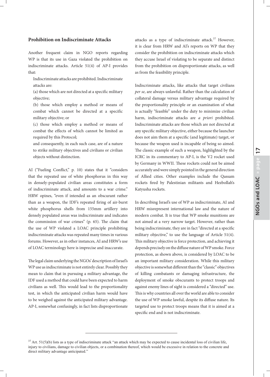#### **Prohibition on Indiscriminate Attacks**

Another frequent claim in NGO reports regarding WP is that its use in Gaza violated the prohibition on indiscriminate attacks. Article 51(4) of AP-I provides that:

Indiscriminate attacks are prohibited. Indiscriminate attacks are:

(a) those which are not directed at a specific military objective;

(b) those which employ a method or means of combat which cannot be directed at a specific military objective; or

(c) those which employ a method or means of combat the effects of which cannot be limited as required by this Protocol;

and consequently, in each such case, are of a nature to strike military objectives and civilians or civilian objects without distinction.

AI ("Fueling Conflict," p. 10) states that it "considers that the repeated use of white phosphorus in this way in densely-populated civilian areas constitutes a form of indiscriminate attack, and amounts to a war crime." HRW opines, "even if intended as an obscurant rather than as a weapon, the IDF's repeated firing of air-burst white phosphorus shells from 155mm artillery into densely populated areas was indiscriminate and indicates the commission of war crimes" (p. 65). The claim that the use of WP violated a LOAC principle prohibiting indiscriminate attacks was repeated many times in various forums. However, as in other instances, AI and HRW's use of LOAC terminology here is imprecise and inaccurate.

The legal claim underlying the NGOs' description of Israel's WP use as indiscriminate is not entirely clear. Possibly they mean to claim that in pursuing a military advantage, the IDF used a method that could have been expected to harm civilians as well. This would lead to the proportionality test, in which the anticipated civilian harm would have to be weighed against the anticipated military advantage. AP-I, somewhat confusingly, in fact lists disproportionate

attacks as a type of indiscriminate attack. $37$  However, it is clear from HRW and AI's reports on WP that they consider the prohibition on indiscriminate attacks which they accuse Israel of violating to be separate and distinct from the prohibition on disproportionate attacks, as well as from the feasibility principle.

Indiscriminate attacks, like attacks that target civilians *per se*, are always unlawful. Rather than the calculation of collateral damage versus military advantage required by the proportionality principle or an examination of what is actually "feasible" under the duty to minimize civilian harm, indiscriminate attacks are *a priori* prohibited. Indiscriminate attacks are those which are not directed at any specific military objective, either because the launcher does not aim them at a specific (and legitimate) target, or because the weapon used is incapable of being so aimed. The classic example of such a weapon, highlighted by the ICRC in its commentary to AP-I, is the V2 rocket used by Germany in WWII. These rockets could not be aimed accurately and were simply pointed in the general direction of Allied cities. Other examples include the Qassam rockets fired by Palestinian militants and Hezbollah's Katyusha rockets.

In describing Israel's use of WP as indiscriminate, AI and HRW misrepresent international law and the nature of modern combat. It is true that WP smoke munitions are not aimed at a very narrow target. However, rather than being indiscriminate, they are in fact "directed at a specific military objective," to use the language of Article 51(4). This military objective is force protection, and achieving it depends precisely on the diffuse nature of WP smoke. Force protection, as shown above, is considered by LOAC to be an important military consideration. While this military objective is somewhat different than the "classic" objectives of killing combatants or damaging infrastructure, the deployment of smoke obscurants to protect troops and against enemy lines of sight is considered a "directed" use. This is why countries all over the world are able to consider the use of WP smoke lawful, despite its diffuse nature. Its targeted use to protect troops means that it is aimed at a specific end and is not indiscriminate.

 $37$  Art. 51(5)(b) lists as a type of indiscriminate attack "an attack which may be expected to cause incidental loss of civilian life, injury to civilians, damage to civilian objects, or a combination thereof, which would be excessive in relation to the concrete and direct military advantage anticipated."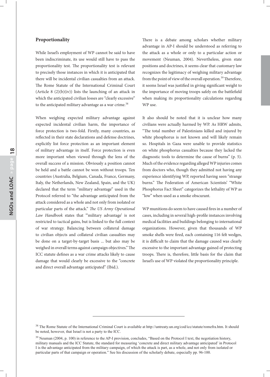#### **Proportionality**

While Israel's employment of WP cannot be said to have been indiscriminate, its use would still have to pass the proportionality test. The proportionality test is relevant to precisely those instances in which it is anticipated that there will be incidental civilian casualties from an attack. The Rome Statute of the International Criminal Court (Article 8  $(2)(b)(iv)$ ) lists the launching of an attack in which the anticipated civilian losses are "clearly excessive" to the anticipated military advantage as a war crime. $38$ 

When weighing expected military advantage against expected incidental civilian harm, the importance of force protection is two-fold. Firstly, many countries, as reflected in their state declarations and defense doctrines, explicitly list force protection as an important element of military advantage in itself. Force protection is even more important when viewed through the lens of the overall success of a mission. Obviously a position cannot be held and a battle cannot be won without troops. Ten countries (Australia, Belgium, Canada, France, Germany, Italy, the Netherlands, New Zealand, Spain, and the UK) declared that the term "military advantage" used in the Protocol referred to "the advantage anticipated from the attack considered as a whole and not only from isolated or particular parts of the attack." *The US Army Operational Law Handbook* states that "'military advantage' is not restricted to tactical gains, but is linked to the full context of war strategy. Balancing between collateral damage to civilian objects and collateral civilian casualties may be done on a target-by-target basis ... but also may be weighed in overall terms against campaign objectives." The ICC statute defines as a war crime attacks likely to cause damage that would clearly be excessive to the "concrete and direct overall advantage anticipated" (Ibid.).

There is a debate among scholars whether military advantage in AP-I should be understood as referring to the attack as a whole or only to a particular action or movement (Neuman, 2004). Nevertheless, given state positions and doctrines, it seems clear that customary law recognizes the legitimacy of weighing military advantage from the point of view of the overall operation.<sup>39</sup> Therefore, it seems Israel was justified in giving significant weight to the importance of moving troops safely on the battlefield when making its proportionality calculations regarding WP use.

It also should be noted that it is unclear how many civilians were actually harmed by WP. As HRW admits, "The total number of Palestinians killed and injured by white phosphorus is not known and will likely remain so. Hospitals in Gaza were unable to provide statistics on white phosphorus casualties because they lacked the diagnostic tools to determine the cause of burns" (p. 5). Much of the evidence regarding alleged WP injuries comes from doctors who, though they admitted not having any experience identifying WP, reported having seen "strange burns." The Federation of American Scientists' "White Phosphorus Fact Sheet" categorizes the lethality of WP as "low" when used as a smoke obscurant.

WP munitions do seem to have caused fires in a number of cases, including in several high-profile instances involving medical facilities and buildings belonging to international organizations. However, given that thousands of WP smoke shells were fired, each containing 116 felt wedges, it is difficult to claim that the damage caused was clearly excessive to the important advantage gained of protecting troops. There is, therefore, little basis for the claim that Israel's use of WP violated the proportionality principle.

<sup>&</sup>lt;sup>38</sup> The Rome Statute of the International Criminal Court is available at http://untreaty.un.org/cod/icc/statute/romefra.htm. It should be noted, however, that Israel is not a party to the ICC.

<sup>&</sup>lt;sup>39</sup> Neuman (2004, p. 100) in reference to the AP-I provision, concludes, "Based on the Protocol I text, the negotiation history, military manuals and the ICC Statute, the standard for measuring 'concrete and direct military advantage anticipated' in Protocol I is the advantage anticipated from the military campaign, of which the attack is part, as a whole, and not only from isolated or particular parts of that campaign or operation." See his discussion of the scholarly debate, especially pp. 96-100.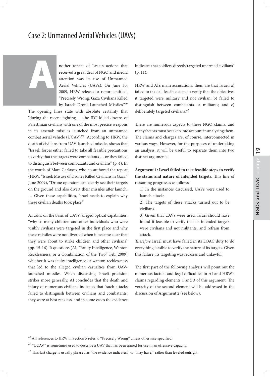# Case 2: Unmanned Aerial Vehicles (UAVs)

**A**

nother aspect of Israel's actions that received a great deal of NGO and media attention was its use of Unmanned Aerial Vehicles (UAVs). On June 30, 2009, HRW released a report entitled, "Precisely Wrong: Gaza Civilians Killed by Israeli Drone-Launched Missiles."<sup>40</sup>

The opening lines state with absolute certainty that "during the recent fighting … the IDF killed dozens of Palestinian civilians with one of the most precise weapons in its arsenal: missiles launched from an unmanned combat aerial vehicle (UCAV)."<sup>41</sup> According to HRW, the death of civilians from UAV-launched missiles shows that "Israeli forces either failed to take all feasible precautions to verify that the targets were combatants … or they failed to distinguish between combatants and civilians" (p. 4). In the words of Marc Garlasco, who co-authored the report (HRW, "Israel: Misuse of Drones Killed Civilians in Gaza," June 2009), "Drone operators can clearly see their targets on the ground and also divert their missiles after launch. … Given these capabilities, Israel needs to explain why these civilian deaths took place."

AI asks, on the basis of UAVs' alleged optical capabilities, "why so many children and other individuals who were visibly civilians were targeted in the first place and why these missiles were not diverted when it became clear that they were about to strike children and other civilians" (pp. 15-16). It questions (AI, "Faulty Intelligence, Wanton Recklessness, or a Combination of the Two," Feb. 2009) whether it was faulty intelligence or wanton recklessness that led to the alleged civilian casualties from UAVlaunched missiles. When discussing Israeli precision strikes more generally, AI concludes that the death and injury of numerous civilians indicates that "such attacks failed to distinguish between civilians and combatants; they were at best reckless, and in some cases the evidence

indicates that soldiers directly targeted unarmed civilians" (p. 11).

HRW and AI's main accusations, then, are that Israel: a) failed to take all feasible steps to verify that the objectives it targeted were military and not civilian; b) failed to distinguish between combatants or militants; and c) deliberately targeted civilians.<sup>42</sup>

There are numerous aspects to these NGO claims, and many factors must be taken into account in analyzing them. The claims and charges are, of course, interconnected in various ways. However, for the purposes of undertaking an analysis, it will be useful to separate them into two distinct arguments.

**Argument 1: Israel failed to take feasible steps to verify the status and nature of intended targets.** This line of reasoning progresses as follows:

1) In the instances discussed, UAVs were used to launch attacks.

2) The targets of these attacks turned out to be civilians.

*Therefore* Israel must have failed in its LOAC duty to do everything feasible to verify the nature of its targets. Given this failure, its targeting was reckless and unlawful.

The first part of the following analysis will point out the numerous factual and legal difficulties in AI and HRW's claims regarding elements 1 and 3 of this argument. The veracity of the second element will be addressed in the discussion of Argument 2 (see below).

<sup>3)</sup> Given that UAVs were used, Israel should have found it feasible to verify that its intended targets were civilians and not militants, and refrain from attack.

<sup>&</sup>lt;sup>40</sup> All references to HRW in Section 5 refer to "Precisely Wrong" unless otherwise specified.

<sup>&</sup>lt;sup>41</sup> "UCAV" is sometimes used to describe a UAV that has been armed for use in an offensive capacity.

<sup>&</sup>lt;sup>42</sup> This last charge is usually phrased as "the evidence indicates," or "may have," rather than leveled outright.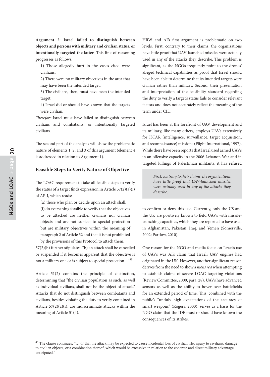**Argument 2: Israel failed to distinguish between objects and persons with military and civilian status, or intentionally targeted the latter.** This line of reasoning progresses as follows:

1) Those allegedly hurt in the cases cited were civilians.

2) There were no military objectives in the area that may have been the intended target.

3) The civilians, then, must have been the intended target.

4) Israel did or should have known that the targets were civilian.

*Therefore* Israel must have failed to distinguish between civilians and combatants, or intentionally targeted civilians.

The second part of the analysis will show the problematic nature of elements 1, 2, and 3 of this argument (element 4 is addressed in relation to Argument 1).

#### **Feasible Steps to Verify Nature of Objective**

The LOAC requirement to take all feasible steps to verify the status of a target finds expression in Article  $57(2)(a)(i)$ of AP-I, which reads:

(a) those who plan or decide upon an attack shall:

(i) do everything feasible to verify that the objectives to be attacked are neither civilians nor civilian objects and are not subject to special protection but are military objectives within the meaning of paragraph 2 of Article 52 and that it is not prohibited by the provisions of this Protocol to attack them.

57(2)(b) further stipulates: "b) an attack shall be cancelled or suspended if it becomes apparent that the objective is not a military one or is subject to special protection ...".<sup>43</sup>

Article 51(2) contains the principle of distinction, determining that "the civilian population as such, as well as individual civilians, shall not be the object of attack." Attacks that do not distinguish between combatants and civilians, besides violating the duty to verify contained in Article 57(2)(a)(i), are indiscriminate attacks within the meaning of Article 51(4).

HRW and AI's first argument is problematic on two levels. First, contrary to their claims, the organizations have little proof that UAV-launched missiles were actually used in any of the attacks they describe. This problem is significant, as the NGOs frequently point to the drones' alleged technical capabilities as proof that Israel should have been able to determine that its intended targets were civilian rather than military. Second, their presentation and interpretation of the feasibility standard regarding the duty to verify a target's status fails to consider relevant factors and does not accurately reflect the meaning of the term under CIL.

Israel has been at the forefront of UAV development and its military, like many others, employs UAVs extensively for ISTAR (intelligence, surveillance, target acquisition, and reconnaissance) missions (Flight International, 1997). While there have been reports that Israel used armed UAVs in an offensive capacity in the 2006 Lebanon War and in targeted killings of Palestinian militants, it has refused

> *First, contrary to their claims, the organizations have little proof that UAV-launched missiles were actually used in any of the attacks they describe.*

to confirm or deny this use. Currently, only the US and the UK are positively known to field UAVs with missilelaunching capacities, which they are reported to have used in Afghanistan, Pakistan, Iraq, and Yemen (Somerville, 2002; Partlow, 2010).

One reason for the NGO and media focus on Israel's use of UAVs was AI's claim that Israeli UAV engines had originated in the UK. However, another significant reason derives from the need to show a *mens rea* when attempting to establish claims of severe LOAC targeting violations (Review Committee, 2000, para. 28). UAVs have advanced sensors as well as the ability to hover over battlefields for an extended period of time. This, combined with the public's "unduly high expectations of the accuracy of smart weapons" (Rogers, 2000), serves as a basis for the NGO claim that the IDF must or should have known the consequences of its strikes.

 $43$  The clause continues, "... or that the attack may be expected to cause incidental loss of civilian life, injury to civilians, damage to civilian objects, or a combination thereof, which would be excessive in relation to the concrete and direct military advantage anticipated."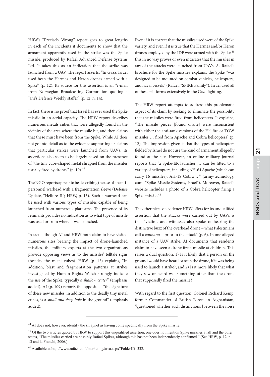HRW's "Precisely Wrong" report goes to great lengths in each of the incidents it documents to show that the armament apparently used in the strike was the Spike missile, produced by Rafael Advanced Defense Systems Ltd. It takes this as an indication that the strike was launched from a UAV. The report asserts, "In Gaza, Israel used both the Hermes and Heron drones armed with a Spike" (p. 12). Its source for this assertion is an "e-mail from Norwegian Broadcasting Corporation quoting a Jane's Defence Weekly staffer" (p. 12, n. 14).

In fact, there is no proof that Israel has ever used the Spike missile in an aerial capacity. The HRW report describes numerous metals cubes that were allegedly found in the vicinity of the area where the missile hit, and then claims that these must have been from the Spike. While AI does not go into detail as to the evidence supporting its claims that particular strikes were launched from UAVs, its assertions also seem to be largely based on the presence of "the tiny cube-shaped metal shrapnel from the missiles usually fired by drones" (p. 19).<sup>44</sup>

The NGO reports appear to be describing the use of an antipersonnel warhead with a fragmentation sleeve (Defense Update, "Hellfire II"; HRW, p. 13). Such a warhead can be used with various types of missiles capable of being launched from numerous platforms. The presence of its remnants provides no indication as to what type of missile was used or from where it was launched.

In fact, although AI and HRW both claim to have visited numerous sites bearing the impact of drone-launched missiles, the military experts at the two organizations provide opposing views as to the missiles' telltale signs (besides the metal cubes). HRW (p. 12) explains, "In addition, blast and fragmentation patterns at strikes investigated by Human Rights Watch strongly indicate the use of the Spike: typically *a shallow crater*" (emphasis added). AI (p. 109) reports the opposite − "the signature of these new missiles, in addition to the deadly tiny metal cubes, is a *small and deep hole* in the ground" (emphasis added).

Even if it is correct that the missiles used were of the Spike variety, and even if it is true that the Hermes and/or Heron drones employed by the IDF were armed with the Spike,<sup>45</sup> this in no way proves or even indicates that the missiles in any of the attacks were launched from UAVs. As Rafael's brochure for the Spike missiles explains, the Spike "was designed to be mounted on combat vehicles, helicopters, and naval vessels" (Rafael, "SPIKE Family"). Israel used all of these platforms extensively in the Gaza fighting.

The HRW report attempts to address this problematic aspect of its claim by seeking to eliminate the possibility that the missiles were fired from helicopters. It explains, "The missile pieces [found onsite] were inconsistent with either the anti-tank versions of the Hellfire or TOW missiles … fired from Apache and Cobra helicopters" (p. 12). The impression given is that the types of helicopters fielded by Israel do not use the kind of armament allegedly found at the site. However, an online military journal reports that "a Spike-ER launcher … can be fitted to a variety of helicopters, including AH-64 Apache (which can carry 16 missiles), AH-1S Cobra …" (army-technology. com, "Spike Missile Systems, Israel"). Moreover, Rafael's website includes a photo of a Cobra helicopter firing a Spike missile.<sup>46</sup>

The other piece of evidence HRW offers for its unqualified assertion that the attacks were carried out by UAVs is that "victims and witnesses also spoke of hearing the distinctive buzz of the overhead drone − what Palestinians call a *zannana* − prior to the attack" (p. 6). In one alleged instance of a UAV strike, AI documents that residents claim to have seen a drone fire a missile at children. This raises a dual question: 1) Is it likely that a person on the ground would have heard or seen the drone, if it was being used to launch a strike?; and 2) Is it more likely that what they saw or heard was something other than the drone that supposedly fired the missile?

With regard to the first question, Colonel Richard Kemp, former Commander of British Forces in Afghanistan, "questioned whether such distinctions [between the noise

<sup>&</sup>lt;sup>44</sup> AI does not, however, identify the shrapnel as having come specifically from the Spike missile.

<sup>&</sup>lt;sup>45</sup> Of the two articles quoted by HRW to support this unqualified assertion, one does not mention Spike missiles at all and the other states, "The missiles carried are possibly Rafael Spikes, although this has not been independently confirmed." (See HRW, p. 12, n. 13 and la Franchi, 2006.)

<sup>46</sup> Available at http://www.rafael.co.il/marketing/area.aspx?FolderID=332.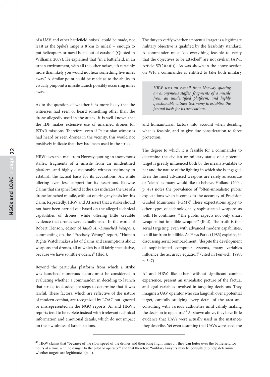of a UAV and other battlefield noises] could be made, not least as the Spike's range is 8 km (5 miles) − enough to put helicopters or naval boats out of earshot" (Quoted in Williams, 2009). He explained that "in a battlefield, in an urban environment, with all the other noises, it's certainly more than likely you would not hear something five miles away." A similar point could be made as to the ability to visually pinpoint a missile launch possibly occurring miles away.

As to the question of whether it is more likely that the witnesses had seen or heard something other than the drone allegedly used in the attack, it is well-known that the IDF makes extensive use of unarmed drones for ISTAR missions. Therefore, even if Palestinian witnesses had heard or seen drones in the vicinity, this would not positively indicate that they had been used in the strike.

HRW uses an e-mail from Norway quoting an anonymous staffer, fragments of a missile from an unidentified platform, and highly questionable witness testimony to establish the factual basis for its accusations. AI, while offering even less support for its assertions, likewise claims that shrapnel found at the sites indicates the use of a drone-launched missile, without offering any basis for this claim. Repeatedly, HRW and AI assert that a strike should not have been carried out based on the alleged technical capabilities of drones, while offering little credible evidence that drones were actually used. In the words of Robert Henson, editor of *Jane's Air-Launched Weapons*, commenting on the "Precisely Wrong" report, "Human Rights Watch makes a lot of claims and assumptions about weapons and drones, all of which is still fairly speculative, because we have so little evidence" (Ibid.).

Beyond the particular platform from which a strike was launched, numerous factors must be considered in evaluating whether a commander, in deciding to launch that strike, took adequate steps to determine that it was lawful. These factors, which are reflective of the nature of modern combat, are recognized by LOAC but ignored or misrepresented in the NGO reports. AI and HRW's reports tend to be replete instead with irrelevant technical information and emotional details, which do not impact on the lawfulness of Israeli actions.

The duty to verify whether a potential target is a legitimate military objective is qualified by the feasibility standard. A commander must "do everything feasible to verify that the objectives to be attacked" are not civilian (AP-I, Article  $57(2)(a)(i)$ ). As was shown in the above section on WP, a commander is entitled to take both military

> *HRW uses an e-mail from Norway quoting an anonymous staffer, fragments of a missile from an unidentified platform, and highly questionable witness testimony to establish the factual basis for its accusations.*

and humanitarian factors into account when deciding what is feasible, and to give due consideration to force protection.

The degree to which it is feasible for a commander to determine the civilian or military status of a potential target is greatly influenced both by the means available to her and the nature of the fighting in which she is engaged. Even the most advanced weapons are rarely as accurate or "clean" as many would like to believe. Holland (2004, p. 48) notes the prevalence of "often-unrealistic public expectations when it comes to the accuracy of Precision Guided Munitions (PGM)." These expectations apply to other types of technologically-sophisticated weapons as well. He continues, "The public expects not only smart weapons but infallible weapons" (Ibid). The truth is that aerial targeting, even with advanced modern capabilities, is still far from infallible. As Hays Parks (1983) explains, in discussing aerial bombardment, "despite the development of sophisticated computer systems, many variables influence the accuracy equation" (cited in Fenwick, 1997, p. 547).

AI and HRW, like others without significant combat experience, present an unrealistic picture of the factual and legal variables involved in targeting decisions. They imagine a UAV operator who can languish over a potential target, carefully studying every detail of the area and consulting with various authorities until calmly making the decision to open fire. $47$  As shown above, they have little evidence that UAVs were actually used in the instances they describe. Yet even assuming that UAVs were used, the

<sup>&</sup>lt;sup>47</sup> HRW claims that "because of the slow speed of the drones and their long flight times ... they can loiter over the battlefield for hours at a time with no danger to the pilot or operator" and that therefore "military lawyers may be consulted to help determine whether targets are legitimate" (p. 4).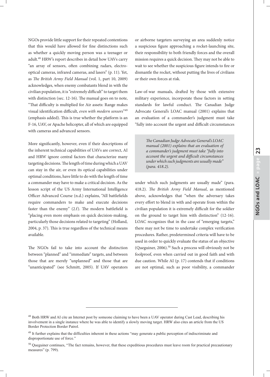NGOs provide little support for their repeated contentions that this would have allowed for fine distinctions such as whether a quickly moving person was a teenager or adult.<sup>48</sup> HRW's report describes in detail how UAVs carry "an array of sensors, often combining radars, electrooptical cameras, infrared cameras, and lasers" (p. 11). Yet, as *The British Army Field Manual* (vol. 1, part 10, 2009) acknowledges, when enemy combatants blend in with the civilian population, it is "extremely difficult" to target them with distinction (sec. 12-16). The manual goes on to note, "That difficulty is multiplied for Air assets: Range makes visual identification difficult, *even with modern sensors*"<sup>49</sup> (emphasis added). This is true whether the platform is an F-16, UAV, or Apache helicopter, all of which are equipped with cameras and advanced sensors.

More significantly, however, even if their descriptions of the inherent technical capabilities of UAVs are correct, AI and HRW ignore central factors that characterize many targeting decisions. The length of time during which a UAV can stay in the air, or even its optical capabilities under optimal conditions, have little to do with the length of time a commander may have to make a critical decision. As the lesson script of the US Army International Intelligence Officer Advanced Course (n.d.) explains, "All battlefields require commanders to make and execute decisions faster than the enemy" (2.f). The modern battlefield is "placing even more emphasis on quick decision-making, particularly those decisions related to targeting" (Holland, 2004, p. 37). This is true regardless of the technical means available.

The NGOs fail to take into account the distinction between "planned" and "immediate" targets, and between those that are merely "unplanned" and those that are "unanticipated" (see Schmitt, 2005). If UAV operators or airborne targeters surveying an area suddenly notice a suspicious figure approaching a rocket-launching site, their responsibility to both friendly forces and the overall mission requires a quick decision. They may not be able to wait to see whether the suspicious figure intends to fire or dismantle the rocket, without putting the lives of civilians or their own forces at risk.

Law-of-war manuals, drafted by those with extensive military experience, incorporate these factors in setting standards for lawful conduct. The Canadian Judge Advocate General's LOAC manual (2001) explains that an evaluation of a commander's judgment must take "fully into account the urgent and difficult circumstances

> *The Canadian Judge Advocate General's LOAC manual (2001) explains that an evaluation of a commander's judgment must take "fully into account the urgent and difficult circumstances under which such judgments are usually made" (para. 418.2).*

under which such judgments are usually made" (para. 418.2). *The British Army Field Manual*, as mentioned above, acknowledges that "when the adversary takes every effort to blend in with and operate from within the civilian population it is extremely difficult for the soldier on the ground to target him with distinction" (12-16). LOAC recognizes that in the case of "emerging targets," there may not be time to undertake complex verification procedures. Rather, predetermined criteria will have to be used in order to quickly evaluate the status of an objective (Queguiner,  $2006$ ).<sup>50</sup> Such a process will obviously not be foolproof, even when carried out in good faith and with due caution. While AI (p. 17) contends that if conditions are not optimal, such as poor visibility, a commander

<sup>48</sup> Both HRW and AI cite an Internet post by someone claiming to have been a UAV operator during Cast Lead, describing his involvement in a single instance where he was able to identify a slowly moving target. HRW also cites an article from the US Border Protection Border Patrol.

<sup>&</sup>lt;sup>49</sup> It further explains that the difficulties inherent in these actions "may generate a public perception of indiscriminate and disproportionate use of force."

<sup>&</sup>lt;sup>50</sup> Queguiner continues, "The fact remains, however, that these expeditious procedures must leave room for practical precautionary measures" (p. 799).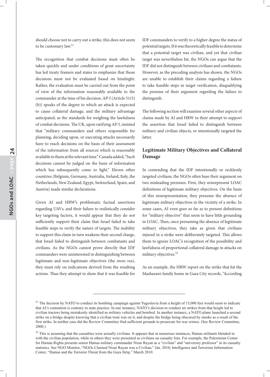should choose not to carry out a strike, this does not seem to be customary law.<sup>51</sup>

The recognition that combat decisions must often be taken quickly and under conditions of great uncertainty has led treaty framers and states to emphasize that those decisions must not be evaluated based on hindsight. Rather, the evaluation must be carried out from the point of view of the information reasonably available to the commander at the time of his decision. AP-I (Article 51(5) (b)) speaks of the degree to which an attack is expected to cause collateral damage, and the military advantage anticipated, as the standards for weighing the lawfulness of combat decisions. The UK, upon ratifying AP-I, insisted that "military commanders and others responsible for planning, deciding upon, or executing attacks necessarily have to reach decisions on the basis of their assessment of the information from all sources which is reasonably available to them at the relevant time." Canada added, "Such decisions cannot be judged on the basis of information which has subsequently come to light." Eleven other countries (Belgium, Germany, Australia, Ireland, Italy, the Netherlands, New Zealand, Egypt, Switzerland, Spain, and Austria) made similar declarations.

Given AI and HRW's problematic factual assertions regarding UAVs, and their failure to realistically consider key targeting factors, it would appear that they do not sufficiently support their claim that Israel failed to take feasible steps to verify the nature of targets. The inability to support this claim in turn weakens their second charge, that Israel failed to distinguish between combatants and civilians. As the NGOs cannot prove directly that IDF commanders were uninterested in distinguishing between legitimate and non-legitimate objectives (the *mens rea*), they must rely on indications derived from the resulting actions. Thus they attempt to show that it was feasible for

IDF commanders to verify to a higher degree the status of potential targets. If it was theoretically feasible to determine that a potential target was civilian, and yet that civilian target was nevertheless hit, the NGOs can argue that the IDF did not distinguish between civilians and combatants. However, as the preceding analysis has shown, the NGOs are unable to establish their claims regarding a failure to take feasible steps in target verification, disqualifying the premise of their argument regarding the failure to distinguish.

The following section will examine several other aspects of claims made by AI and HRW in their attempt to support the assertion that Israel failed to distinguish between military and civilian objects, or intentionally targeted the **latter** 

#### **Legitimate Military Objectives and Collateral Damage**

In contending that the IDF intentionally or recklessly targeted civilians, the NGOs often base their argument on two misleading premises. First, they misrepresent LOAC definitions of legitimate military objectives. On the basis of this misrepresentation, they presume the absence of legitimate military objectives in the vicinity of a strike. In some cases, AI even goes so far as to present definitions for "military objective" that seem to have little grounding in LOAC. Then, once presuming the absence of legitimate military objectives, they take as given that civilians injured in a strike were deliberately targeted. This allows them to ignore LOAC's recognition of the possibility and lawfulness of proportional collateral damage in attacks on military objectives.<sup>52</sup>

As an example, the HRW report on the strike that hit the Masharawi family home in Gaza City records, "According

<sup>&</sup>lt;sup>51</sup> The decision by NATO to conduct its bombing campaign against Yugoslavia from a height of 15,000 feet would seem to indicate that AI's contention is contrary to state practice. In one instance, NATO's decision to conduct air strikes from that height led to civilian tractors being mistakenly identified as military vehicles and bombed. In another instance, a NATO plane launched a second strike on a bridge despite knowing that a civilian train was on it, and despite the bridge being obscured by smoke as a result of the first strike. In neither case did the Review Committee find sufficient grounds to prosecute for war crimes. (See Review Committee, 2000.)

<sup>&</sup>lt;sup>52</sup> This is assuming that the casualties were actually civilians. It appears that in numerous instances, Hamas militants blended in with the civilian population, while in others they were presented as civilians on casualty lists. For example, the Palestinian Center for Human Rights presents senior Hamas military commander Nizar Rayan as a "civilian" and "university professor" in its casualty statistics. See NGO Monitor, "NGOs Claimed Nizar Rayan was a Civilian," Jan. 2010; Intelligence and Terrorism Information Center, "Hamas and the Terrorist Threat from the Gaza Strip," March 2010.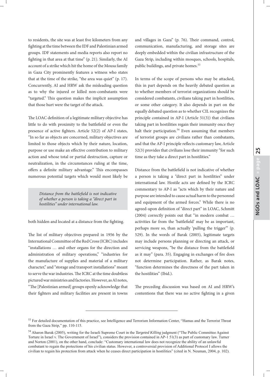to residents, the site was at least five kilometers from any fighting at the time between the IDF and Palestinian armed groups. IDF statements and media reports also report no fighting in that area at that time" (p. 21). Similarly, the AI account of a strike which hit the home of the Mousa family in Gaza City prominently features a witness who states that at the time of the strike, "the area was quiet" (p. 17). Concurrently, AI and HRW ask the misleading question as to why the injured or killed non-combatants were "targeted." This question makes the implicit assumption that those hurt were the target of the attack.

The LOAC definition of a legitimate military objective has little to do with proximity to the battlefield or even the presence of active fighters. Article 52(2) of AP-I states, "In so far as objects are concerned, military objectives are limited to those objects which by their nature, location, purpose or use make an effective contribution to military action and whose total or partial destruction, capture or neutralization, in the circumstances ruling at the time, offers a definite military advantage." This encompasses numerous potential targets which would most likely be

> *Distance from the battlefield is not indicative of whether a person is taking a "direct part in hostilities" under international law.*

both hidden and located at a distance from the fighting.

The list of military objectives prepared in 1956 by the International Committee of the Red Cross (ICRC) includes "installations … and other organs for the direction and administration of military operations," "industries for the manufacture of supplies and material of a military character," and "storage and transport installations" meant to serve the war industries. The ICRC at the time doubtless pictured war ministries and factories. However, as AI notes, "The [Palestinian armed] groups openly acknowledge that their fighters and military facilities are present in towns and villages in Gaza" (p. 76). Their command, control, communication, manufacturing, and storage sites are deeply embedded within the civilian infrastructure of the Gaza Strip, including within mosques, schools, hospitals, public buildings, and private homes.<sup>53</sup>

In terms of the scope of persons who may be attacked, this in part depends on the heavily debated question as to whether members of terrorist organizations should be considered combatants, civilians taking part in hostilities, or some other category. It also depends in part on the equally debated question as to whether CIL recognizes the principle contained in AP-I (Article 51(3)) that civilians taking part in hostilities regain their immunity once they halt their participation.<sup>54</sup> Even assuming that members of terrorist groups are civilians rather than combatants, and that the AP-I principle reflects customary law, Article 52(3) provides that civilians lose their immunity "for such time as they take a direct part in hostilities."

Distance from the battlefield is not indicative of whether a person is taking a "direct part in hostilities" under international law. Hostile acts are defined by the ICRC commentary to AP-I as "acts which by their nature and purpose are intended to cause actual harm to the personnel and equipment of the armed forces." While there is no agreed-upon definition of "direct part" in LOAC, Schmitt (2004) correctly points out that "in modern combat … activities far from the 'battlefield' may be as important, perhaps more so, than actually 'pulling the trigger" (p. 529). In the words of Barak (2005), legitimate targets may include persons planning or directing an attack, or servicing weapons, "be the distance from the battlefield as it may" (para. 35). Engaging in exchanges of fire does not determine participation. Rather, as Barak notes, "function determines the directness of the part taken in the hostilities" (Ibid.).

The preceding discussion was based on AI and HRW's contentions that there was no active fighting in a given

<sup>53</sup> For detailed documentation of this practice, see Intelligence and Terrorism Information Center, "Hamas and the Terrorist Threat from the Gaza Strip," pp. 110-115.

<sup>54</sup> Aharon Barak (2005), writing for the Israeli Supreme Court in the *Targeted Killing* judgment ("The Public Committee Against Torture in Israel v. The Government of Israel"), considers the provision contained in AP-1 51(3) as part of customary law. Turner and Norton (2001), on the other hand, conclude: "Customary international law does not recognize the ability of an unlawful combatant to regain the protections of his civilian status. However, a controversial provision of Additional Protocol I allows the civilian to regain his protection from attack when he ceases direct participation in hostilities" (cited in N. Neuman, 2004, p. 102).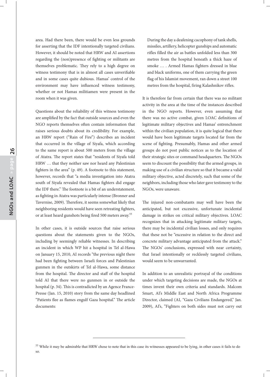area. Had there been, there would be even less grounds for asserting that the IDF intentionally targeted civilians. However, it should be noted that HRW and AI assertions regarding the (non)presence of fighting or militants are themselves problematic. They rely to a high degree on witness testimony that is in almost all cases unverifiable and in some cases quite dubious. Hamas' control of the environment may have influenced witness testimony, whether or not Hamas militiamen were present in the room when it was given.

Questions about the reliability of this witness testimony are amplified by the fact that outside sources and even the NGO reports themselves often contain information that raises serious doubts about its credibility. For example, an HRW report ("Rain of Fire") describes an incident that occurred in the village of Siyafa, which according to the same report is about 500 meters from the village of Atatra. The report states that "residents of Siyafa told HRW … that they neither saw nor heard any Palestinian fighters in the area" (p. 49). A footnote to this statement, however, records that "a media investigation into Atatra south of Siyafa revealed that Hamas fighters did engage the IDF there." The footnote is a bit of an understatement, as fighting in Atatra was particularly intense (Bronner and Tavernise, 2009). Therefore, it seems somewhat likely that neighboring residents would have seen retreating fighters, or at least heard gunshots being fired 500 meters away.<sup>55</sup>

In other cases, it is outside sources that raise serious questions about the statements given to the NGOs, including by seemingly reliable witnesses. In describing an incident in which WP hit a hospital in Tel al-Hawa on January 15, 2010, AI records "the previous night there had been fighting between Israeli forces and Palestinian gunmen in the outskirts of Tel al-Hawa, some distance from the hospital. The director and staff of the hospital told AI that there were no gunmen in or outside the hospital (p. 34). This is contradicted by an Agence France-Presse (Jan. 15, 2010) story from the same day headlined "Patients flee as flames engulf Gaza hospital." The article documents:

During the day a deafening cacophony of tank shells, missiles, artillery, helicopter gunships and automatic rifles filled the air as battles unfolded less than 300 metres from the hospital beneath a thick haze of smoke … . Armed Hamas fighters dressed in blue and black uniforms, one of them carrying the green flag of his Islamist movement, ran down a street 100 metres from the hospital, firing Kalashnikov rifles.

It is therefore far from certain that there was no militant activity in the area at the time of the instances described in the NGO reports. However, even assuming that there was no active combat, given LOAC definitions of legitimate military objectives and Hamas' entrenchment within the civilian population, it is quite logical that there would have been legitimate targets located far from the scene of fighting. Presumably, Hamas and other armed groups do not post public notices as to the location of their strategic sites or command headquarters. The NGOs seem to discount the possibility that the armed groups, in making use of a civilian structure so that it became a valid military objective, acted discretely, such that some of the neighbors, including those who later gave testimony to the NGOs, were unaware.

The injured non-combatants may well have been the anticipated, but not excessive, unfortunate incidental damage in strikes on critical military objectives. LOAC recognizes that in attacking legitimate military targets, there may be incidental civilian losses, and only requires that these not be "excessive in relation to the direct and concrete military advantage anticipated from the attack." The NGOs' conclusions, expressed with near certainty, that Israel intentionally or recklessly targeted civilians, would seem to be unwarranted.

In addition to an unrealistic portrayal of the conditions under which targeting decisions are made, the NGOs at times invent their own criteria and standards. Malcom Smart, AI's Middle East and North Africa Programme Director, claimed (AI, "Gaza Civilians Endangered," Jan. 2009), AI's, "Fighters on both sides must not carry out

<sup>&</sup>lt;sup>55</sup> While it may be admirable that HRW chose to note that in this case its witnesses appeared to be lying, in other cases it fails to do so.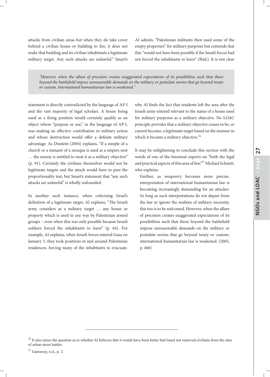attacks from civilian areas but when they do take cover behind a civilian house or building to fire, it does not make that building and its civilian inhabitants a legitimate military target. Any such attacks are unlawful." Smart's

AI admits, "Palestinian militants then used some of the empty properties" for military purposes but contends that this "would not have been possible if the Israeli forces had not forced the inhabitants to leave" (Ibid.). It is not clear

*"However, when the allure of precision creates exaggerated expectations of its possibilities such that those beyond the battlefield impose unreasonable demands on the military or postulate norms that go beyond treaty or custom, international humanitarian law is weakened."*

statement is directly contradicted by the language of AP-I and the vast majority of legal scholars. A house being used as a firing position would certainly qualify as an object whose "purpose or use," in the language of AP-I, was making an effective contribution to military action and whose destruction would offer a definite military advantage. As Dinstein (2004) explains, "If a steeple of a church or a minaret of a mosque is used as a snipers nest … the enemy is entitled to treat it as a military objective" (p. 91). Certainly the civilians themselves would not be legitimate targets and the attack would have to pass the proportionality test, but Smart's statement that "any such attacks are unlawful" is wholly unfounded.

In another such instance, when criticizing Israel's definition of a legitimate target, AI explains, "The Israeli army considers as a military target … any house or property which is used in any way by Palestinian armed groups – even when this was only possible because Israeli soldiers forced the inhabitants to leave" (p. 64). For example, AI explains, when Israeli forces entered Gaza on January 3, they took positions in and around Palestinian residences, forcing many of the inhabitants to evacuate.

why AI finds the fact that residents left the area after the Israeli army entered relevant to the status of a house used for military purposes as a military objective. No LOAC principle provides that a military objective ceases to be, or cannot become, a legitimate target based on the manner in which it became a military objective.<sup>56</sup>

It may be enlightening to conclude this section with the words of one of the foremost experts on "both the legal and practical aspects of this area of law,"<sup>57</sup> Michael Schmitt, who explains:

Further, as weaponry becomes more precise, interpretation of international humanitarian law is becoming increasingly demanding for an attacker. So long as such interpretations do not depart from the law or ignore the realities of military necessity, this too is to be welcomed. However, when the allure of precision creates exaggerated expectations of its possibilities such that those beyond the battlefield impose unreasonable demands on the military or postulate norms that go beyond treaty or custom, international humanitarian law is weakened. (2005, p. 466)

<sup>&</sup>lt;sup>56</sup> It also raises the question as to whether AI believes that it would have been better had Israel not removed civilians from the sites of urban street battles.

<sup>57</sup> Garraway, n.d., p. 2.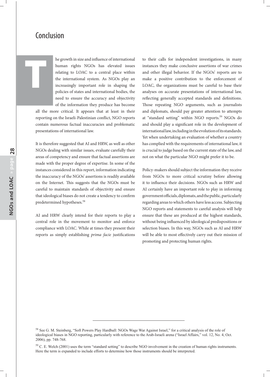# **Conclusion**

**T**

he growth in size and influence of international human rights NGOs has elevated issues relating to LOAC to a central place within the international system. As NGOs play an increasingly important role in shaping the policies of states and international bodies, the need to ensure the accuracy and objectivity of the information they produce has become

all the more critical. It appears that at least in their reporting on the Israeli-Palestinian conflict, NGO reports contain numerous factual inaccuracies and problematic presentations of international law.

It is therefore suggested that AI and HRW, as well as other NGOs dealing with similar issues, evaluate carefully their areas of competency and ensure that factual assertions are made with the proper degree of expertise. In some of the instances considered in this report, information indicating the inaccuracy of the NGOs' assertions is readily available on the Internet. This suggests that the NGOs must be careful to maintain standards of objectivity and ensure that ideological biases do not create a tendency to confirm predetermined hypotheses.<sup>58</sup>

AI and HRW clearly intend for their reports to play a central role in the movement to monitor and enforce compliance with LOAC. While at times they present their reports as simply establishing *prima facie* justifications to their calls for independent investigations, in many instances they make conclusive assertions of war crimes and other illegal behavior. If the NGOs' reports are to make a positive contribution to the enforcement of LOAC, the organizations must be careful to base their analyses on accurate presentations of international law, reflecting generally accepted standards and definitions. Those repeating NGO arguments, such as journalists and diplomats, should pay greater attention to attempts at "standard setting" within NGO reports.<sup>59</sup> NGOs do and should play a significant role in the development of international law, including in the evolution of its standards. Yet when undertaking an evaluation of whether a country has complied with the requirements of international law, it is crucial to judge based on the current state of the law, and not on what the particular NGO might prefer it to be.

Policy-makers should subject the information they receive from NGOs to more critical scrutiny before allowing it to influence their decisions. NGOs such as HRW and AI certainly have an important role to play in informing government officials, diplomats, and the public, particularly regarding areas to which others have less access. Subjecting NGO reports and statements to careful analysis will help ensure that these are produced at the highest standards, without being influenced by ideological predispositions or selection biases. In this way, NGOs such as AI and HRW will be able to most effectively carry out their mission of promoting and protecting human rights.

<sup>58</sup> See G. M. Steinberg, "Soft Powers Play Hardball: NGOs Wage War Against Israel," for a critical analysis of the role of ideological biases in NGO reporting, particularly with reference to the Arab-Israeli arena ("Israel Affairs," vol. 12, No. 4, Oct. 2006), pp. 748-768.

<sup>&</sup>lt;sup>59</sup> C. E. Welch (2001) uses the term "standard setting" to describe NGO involvement in the creation of human rights instruments. Here the term is expanded to include efforts to determine how those instruments should be interpreted.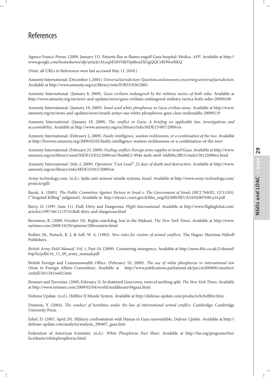# References

Agence France-Presse. (2009, January 15). Patients flee as flames engulf Gaza hospital: Medics. *AFP*. Available at http:// www.google.com/hostednews/afp/article/ALeqM5iFtVdO5p6benIXGgQQCrBIWoeRKQ

(Note: all URLs in References were last accessed May 11, 2010.)

Amnesty International. (December 1, 2001). *Universal Jurisdiction: Questions and answers concerning universal jurisdiction*. Available at http://www.amnesty.org/en/library/info/IOR53/020/2001

Amnesty International. (January 8, 2009). *Gaza civilians endangered by the military tactics of both sides*. Available at http://www.amnesty.org/en/news-and-updates/news/gaza-civilians-endangered-military-tactics-both-sides-20090108

Amnesty International. (January 19, 2009). *Israel used white phosphorus in Gaza civilian areas*. Available at http://www. amnesty.org/en/news-and-updates/news/israeli-armys-use-white-phosphorus-gaza-clear-undeniable-20090119

Amnesty International. (January 19, 2009). *The conflict in Gaza: A briefing on applicable law, investigations and accountability*. Available at http://www.amnesty.org/en/library/info/MDE15/007/2009/en

Amnesty International. (February 2, 2009). *Faulty intelligence, wanton recklessness, or a combination of the two*. Available at http://livewire.amnesty.org/2009/02/02/faulty-intelligence-wanton-recklessness-or-a-combination-of-the-two/

Amnesty International. (February 23, 2009). *Fueling conflict: Foreign arms supplies to Israel/Gaza*. Available at http://www. amnesty.org/en/library/asset/MDE15/012/2009/en/5be86fc2-994e-4eeb-a6e8-3ddf68c28b31/mde150122009en.html

Amnesty International. (July 2, 2009). *Operation "Cast Lead": 22 days of death and destruction*. Available at http://www. amnesty.org/en/library/info/MDE15/015/2009/en

Army-technology.com. (n.d.). Spike anti-armour missile systems, Israel. Available at http://www.army-technology.com/ projects/gill/

Barak, A. (2005). *The Public Committee Against Torture in Israel v. The Government of Israel*, (HCJ 769/02, 12/11/05). ("Targeted Killing" judgment). Available at http://elyon1.court.gov.il/files\_eng/02/690/007/A34/02007690.a34.pdf

Barry, D. (1997, June 11). Dull, Dirty and Dangerous. *Flight International*. Available at http://www.flightglobal.com/ articles/1997/06/11/3753/dull-dirty-and-dangerous.html

Bernstein, R. (2009, October 19). Rights watchdog, lost in the Mideast. *The New York Times*. Available at http://www. nytimes.com/2009/10/20/opinion/20bernstein.html

Bother, M., Partsch, K. J. & Solf, W. A. (1982). *New rules for victims of armed conflicts*. The Hague: Martinus Nijhoff Publishers.

*British Army Field Manual*, Vol. 1, Part 10. (2009). Countering insurgency. Available at http://news.bbc.co.uk/2/shared/ bsp/hi/pdfs/16\_11\_09\_army\_manual.pdf

British Foreign and Commonwealth Office. (February 10, 2009). *The use of white phosphorus in international law* (Note to Foreign Affairs Committee). Available at http://www.publications.parliament.uk/pa/cm200809/cmselect/ cmfaff/261/261we02.htm

Bronner and Tavernise. (2009, February 3). In shattered Gaza town, roots of seething split. *The New York Times*. Available at http://www.nytimes.com/2009/02/04/world/middleeast/04gaza.html

Defense Update. (n.d.). Hellfire II Missile System. Available at http://defense-update.com/products/h/hellfire.htm

Dinstein, Y. (2004). *The conduct of hostilities under the law of international armed conflict*. Cambridge: Cambridge University Press.

Eshel, D. (2007, April 29). Military confrontation with Hamas in Gaza unavoidable. *Defense Update*. Available at http:// defense-update.com/analysis/analysis\_290407\_gaza.htm

Federation of American Scientists. (n.d.). *White Phosphorus Fact Sheet*. Available at http://fas.org/programs/bio/ factsheets/whitephosphorus.html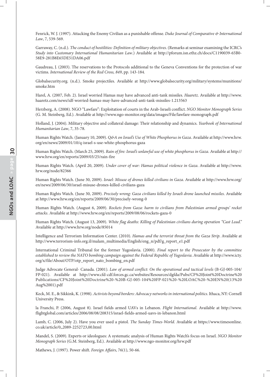Fenrick, W. J. (1997). Attacking the Enemy Civilian as a punishable offense. *Duke Journal of Comparative & International Law*, 7, 539-569.

Garraway, C. (n.d.). *The conduct of hostilities: Definition of military objectives*. (Remarks at seminar examining the ICRC's *Study into Customary International Humanitarian Law*.) Available at http://pforum.isn.ethz.ch/docs/C1190039-65B0- 58E9-281B8E65DE51DA06.pdf

Gaudreau, J. (2003). The reservations to the Protocols additional to the Geneva Conventions for the protection of war victims. *International Review of the Red Cross, 849*, pp. 143-184.

Globalsecurity.org. (n.d.). Smoke projectiles. Available at http://www.globalsecurity.org/military/systems/munitions/ smoke.htm

Harel, A. (2007, Feb. 2). Israel worried Hamas may have advanced anti-tank missiles. *Haaretz*. Available at http://www. haaretz.com/news/idf-worried-hamas-may-have-advanced-anti-tank-missiles-1.213563

Herzberg, A. (2008). NGO "Lawfare": Exploitation of courts in the Arab-Israeli conflict. *NGO Monitor Monograph Series* (G. M. Steinberg, Ed.). Available at http://www.ngo-monitor.org/data/images/File/lawfare-monograph.pdf

Holland, J. (2004). Military objective and collateral damage: Their relationship and dynamics. *Yearbook of International Humanitarian Law*, 7, 35-78.

Human Rights Watch. (January 10, 2009). *Q&A on Israel's Use of White Phosphorus in Gaza*. Available at http://www.hrw. org/en/news/2009/01/10/q-israel-s-use-white-phosphorus-gaza

Human Rights Watch. (March 25, 2009). *Rain of fire: Israel's unlawful use of white phosphorus in Gaza*. Available at http:// www.hrw.org/en/reports/2009/03/25/rain-fire

Human Rights Watch. (April 20, 2009). *Under cover of war: Hamas political violence in Gaza*. Available at http://www. hrw.org/node/82366

Human Rights Watch. (June 30, 2009). *Israel: Misuse of drones killed civilians in Gaza*. Available at http://www.hrw.org/ en/news/2009/06/30/israel-misuse-drones-killed-civilians-gaza

Human Rights Watch. (June 30, 2009). *Precisely wrong: Gaza civilians killed by Israeli drone launched missiles*. Available at http://www.hrw.org/en/reports/2009/06/30/precisely-wrong-0

Human Rights Watch. (August 6, 2009). *Rockets from Gaza: harm to civilians from Palestinian armed groups' rocket attacks*. Available at http://www.hrw.org/en/reports/2009/08/06/rockets-gaza-0

Human Rights Watch. (August 13, 2009). *White flag deaths: Killing of Palestinian civilians during operation "Cast Lead."*  Available at http://www.hrw.org/node/85014

Intelligence and Terrorism Information Center. (2010). *Hamas and the terrorist threat from the Gaza Strip*. Available at http://www.terrorism-info.org.il/malam\_multimedia/English/eng\_n/pdf/g\_report\_e1.pdf

International Criminal Tribunal for the former Yugoslavia. (2000). *Final report to the Prosecutor by the committee established to review the NATO bombing campaign against the Federal Republic of Yugoslavia*. Available at http://www.icty. org/x/file/About/OTP/otp\_report\_nato\_bombing\_en.pdf

Judge Advocate General- Canada. (2001). *Law of armed conflict: On the operational and tactical levels* (B-GJ-005-104/ FP-021). Available at http://www.cfd-cdf.forces.gc.ca/websites/Resources/dgfda/Pubs/CF%20Joint%20Doctrine%20 Publications/CF%20Joint%20Doctrine%20-%20B-GJ-005-104%20FP-021%20-%20LOAC%20-%20EN%20(13%20 Aug%2001).pdf

Keck, M. E., & Sikkink, K. (1998). *Activists beyond borders: Advocacy networks in international politics*. Ithaca, NY: Cornell University Press.

la Franchi, P. (2006, August 8). Israel fields armed UAVs in Lebanon. *Flight International*. Available at http://www. flightglobal.com/articles/2006/08/08/208315/israel-fields-armed-uavs-in-lebanon.html

Lamb, C. (2006, July 2). Have you ever used a pistol. *The Sunday Times-World*. Available at https://www.timesonline. co.uk/article/0,,2089-2252723,00.html

Mandel, S. (2009). Experts or ideologues: A systematic analysis of Human Rights Watch's focus on Israel. *NGO Monitor Monograph Series* (G.M. Steinberg, Ed.). Available at http://www.ngo-monitor.org/hrw.pdf

Mathews, J. (1997). Power shift. *Foreign Affairs*, 76(1), 50-66.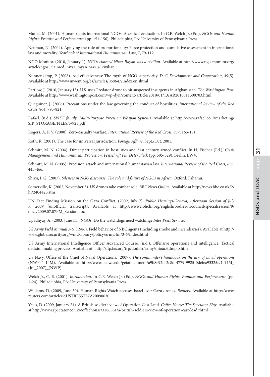Mutua, M. (2001). Human rights international NGOs: A critical evaluation. In C.E. Welch Jr. (Ed.), *NGOs and Human Rights: Promise and Performance* (pp. 151-156). Philadelphia, PA: University of Pennsylvania Press.

Neuman, N. (2004). Applying the rule of proportionality: Force protection and cumulative assessment in international law and morality. *Yearbook of International Humanitarian Law*, 7, 79-112.

NGO Monitor. (2010, January 1). *NGOs claimed Nizar Rayan was a civilian*. Available at http://www.ngo-monitor.org/ article/ngos\_claimed\_nizar\_rayan\_was\_a\_civilian

Nunnenkamp, P. (2008). Aid effectiveness: The myth of NGO superiority. *D+C Development and Cooperation*, 49(5). Available at http://www.inwent.org/ez/articles/068647/index.en.shtml

Partlow, J. (2010, January 13). U.S. uses Predator drone to hit suspected insurgents in Afghanistan. *The Washington Post*. Available at http://www.washingtonpost.com/wp-dyn/content/article/2010/01/13/AR2010011300703.html

Queguiner, J. (2006). Precautions under the law governing the conduct of hostilities. *International Review of the Red Cross*, 864, 793-821.

Rafael. (n.d.). *SPIKE family: Multi-Purpose Precision Weapon Systems*. Available at http://www.rafael.co.il/marketing/ SIP\_STORAGE/FILES/3/923.pdf

Rogers, A. P. V. (2000). Zero-casualty warfare. *International Review of the Red Cross, 837*, 165-181.

Roth, K. (2001). The case for universal jurisdiction. *Foreign Affairs*, Sept./Oct. 2001.

Schmitt, M. N. (2004). Direct participation in hostilities and 21st century armed conflict. In H. Fischer (Ed.), *Crisis Management and Humanitarian Protection: Festschrift Fur Deter Fleck* (pp. 505-529). Berlin: BWV.

Schmitt, M. N. (2005). Precision attack and international humanitarian law. *International Review of the Red Cross, 859*, 445-466.

Shivji, I. G. (2007). *Silences in NGO discourse: The role and future of NGOs in Africa*. Oxford: Fahamu.

Somerville, K. (2002, November 5). US drones take combat role. *BBC News Online*. Available at http://news.bbc.co.uk/2/ hi/2404425.stm

UN Fact Finding Mission on the Gaza Conflict. (2009, July 7). *Public Hearings-Geneva, Afternoon Session of July 7, 2009* [unofficial transcript]. Available at http://www2.ohchr.org/english/bodies/hrcouncil/specialsession/9/ docs/2009.07.07PM\_Session.doc

Upadhyay, A. (2003, June 11). NGOs: Do the watchdogs need watching? *Inter Press Service*.

*US Army Field Manual 3-6*. (1986). Field behavior of NBC agents (including smoke and incendiaries). Available at http:// www.globalsecurity.org/wmd/library/policy/army/fm/3-6/index.html

US Army International Intelligence Officer Advanced Course. (n.d.). Offensive operations and intelligence: Tactical decision making process. Available at http://ftp.fas.org/irp/doddir/army/mioac/tdmplp.htm

US Navy, Office of the Chief of Naval Operations. (2007). *The commander's handbook on the law of naval operations*  (NWP 1-14M). Available at http://www.usnwc.edu/getattachment/a9b8e92d-2c8d-4779-9925-0defea93325c/1-14M\_ (Jul\_2007)\_(NWP)

Welch Jr., C. E. (2001). *Introduction*. In C.E. Welch Jr. (Ed.), *NGOs and Human Rights: Promise and Performance* (pp. 1-24). Philadelphia, PA: University of Pennsylvania Press.

Williams, D. (2009, June 30). Human Rights Watch accuses Israel over Gaza drones. *Reuters*. Available at http://www. reuters.com/article/idUSTRE55T37A20090630

Yates, D. (2009, January 24). A British soldier's view of Operation Cast Lead. *Coffee House: The Spectator Blog*. Available at http://www.spectator.co.uk/coffeehouse/3286561/a-british-soldiers-view-of-operation-cast-lead.thtml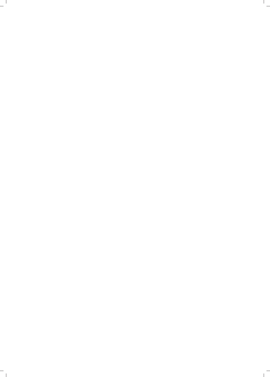$\mathbb{R}$ 

 $\overline{1}$ 

 $\mathbf{1}$ 

 $^{-}$  1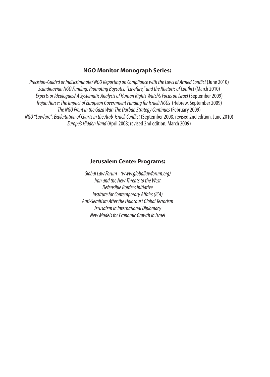#### **NGO Monitor Monograph Series:**

Precision-Guided or Indiscriminate? NGO Reporting on Compliance with the Laws of Armed Conflict (June 2010) Scandinavian NGO Funding: Promoting Boycotts, "Lawfare," and the Rhetoric of Conflict (March 2010) Experts or Ideologues? A Systematic Analysis of Human Rights Watch's Focus on Israel (September 2009) Trojan Horse: The Impact of European Government Funding for Israeli NGOs (Hebrew, September 2009) The NGO Front in the Gaza War: The Durban Strategy Continues (February 2009) NGO "Lawfare": Exploitation of Courts in the Arab-Israeli Conflict (September 2008, revised 2nd edition, June 2010) Europe's Hidden Hand (April 2008; revised 2nd edition, March 2009)

#### **Jerusalem Center Programs:**

Global Law Forum - (www.globallawforum.org) Iran and the New Threats to the West Defensible Borders Initiative Institute for Contemporary Affairs (ICA) Anti-Semitism After the Holocaust Global Terrorism Jerusalem in International Diplomacy New Models for Economic Growth in Israel